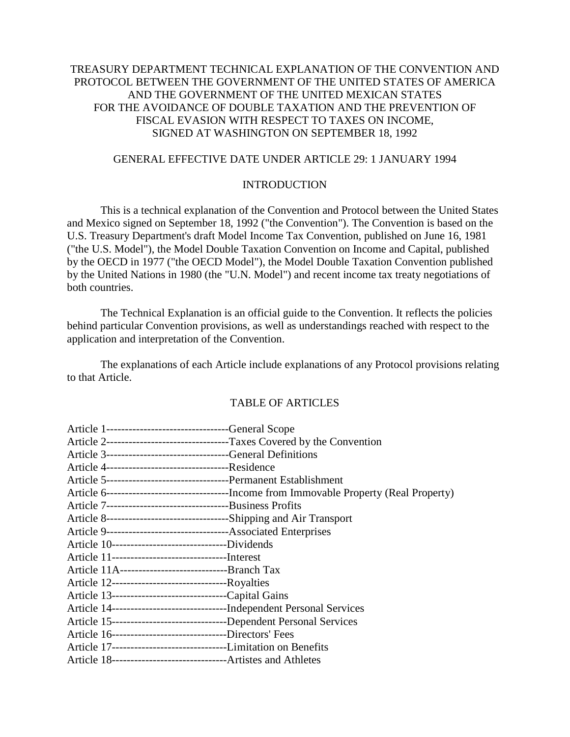## TREASURY DEPARTMENT TECHNICAL EXPLANATION OF THE CONVENTION AND PROTOCOL BETWEEN THE GOVERNMENT OF THE UNITED STATES OF AMERICA AND THE GOVERNMENT OF THE UNITED MEXICAN STATES FOR THE AVOIDANCE OF DOUBLE TAXATION AND THE PREVENTION OF FISCAL EVASION WITH RESPECT TO TAXES ON INCOME, SIGNED AT WASHINGTON ON SEPTEMBER 18, 1992

### GENERAL EFFECTIVE DATE UNDER ARTICLE 29: 1 JANUARY 1994

#### INTRODUCTION

This is a technical explanation of the Convention and Protocol between the United States and Mexico signed on September 18, 1992 ("the Convention"). The Convention is based on the U.S. Treasury Department's draft Model Income Tax Convention, published on June 16, 1981 ("the U.S. Model"), the Model Double Taxation Convention on Income and Capital, published by the OECD in 1977 ("the OECD Model"), the Model Double Taxation Convention published by the United Nations in 1980 (the "U.N. Model") and recent income tax treaty negotiations of both countries.

The Technical Explanation is an official guide to the Convention. It reflects the policies behind particular Convention provisions, as well as understandings reached with respect to the application and interpretation of the Convention.

The explanations of each Article include explanations of any Protocol provisions relating to that Article.

#### TABLE OF ARTICLES

| Article 1--------------------------------General Scope                   |                                                                           |
|--------------------------------------------------------------------------|---------------------------------------------------------------------------|
|                                                                          | Article 2---------------------------------Taxes Covered by the Convention |
| Article 3----------------------------------General Definitions           |                                                                           |
|                                                                          |                                                                           |
|                                                                          |                                                                           |
|                                                                          |                                                                           |
|                                                                          |                                                                           |
|                                                                          |                                                                           |
|                                                                          |                                                                           |
| Article 10---------------------------------Dividends                     |                                                                           |
|                                                                          |                                                                           |
|                                                                          |                                                                           |
| Article 12----------------------------------Royalties                    |                                                                           |
| Article 13----------------------------------Capital Gains                |                                                                           |
|                                                                          |                                                                           |
| Article 15-----------------------------------Dependent Personal Services |                                                                           |
| Article 16-------------------------------Directors' Fees                 |                                                                           |
|                                                                          |                                                                           |
|                                                                          |                                                                           |
|                                                                          |                                                                           |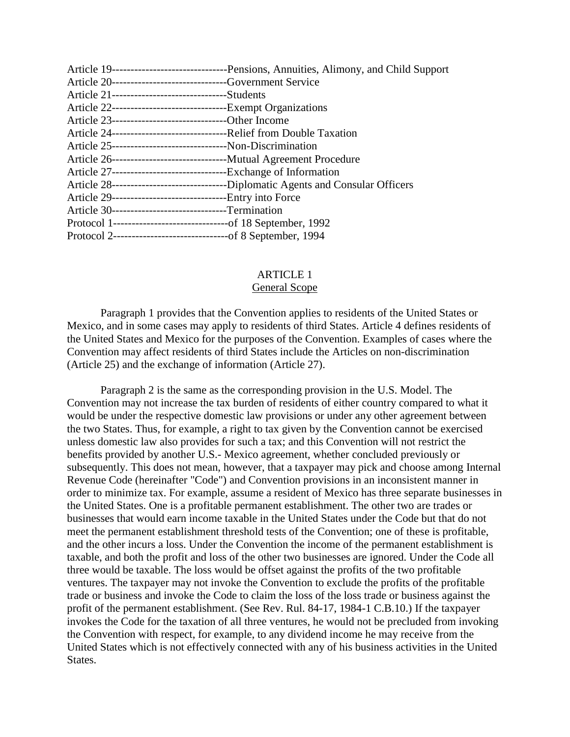|                                                                     | Article 19-----------------------------------Pensions, Annuities, Alimony, and Child Support |
|---------------------------------------------------------------------|----------------------------------------------------------------------------------------------|
| Article 20-------------------------------Government Service         |                                                                                              |
| Article 21----------------------------------Students                |                                                                                              |
|                                                                     |                                                                                              |
| Article 23-----------------------------------Other Income           |                                                                                              |
|                                                                     |                                                                                              |
| Article 25--------------------------------Non-Discrimination        |                                                                                              |
|                                                                     |                                                                                              |
| Article 27----------------------------------Exchange of Information |                                                                                              |
|                                                                     |                                                                                              |
| Article 29---------------------------------Entry into Force         |                                                                                              |
| Article 30-------------------------------Termination                |                                                                                              |
|                                                                     |                                                                                              |
|                                                                     |                                                                                              |
|                                                                     |                                                                                              |

# ARTICLE 1

## General Scope

Paragraph 1 provides that the Convention applies to residents of the United States or Mexico, and in some cases may apply to residents of third States. Article 4 defines residents of the United States and Mexico for the purposes of the Convention. Examples of cases where the Convention may affect residents of third States include the Articles on non-discrimination (Article 25) and the exchange of information (Article 27).

Paragraph 2 is the same as the corresponding provision in the U.S. Model. The Convention may not increase the tax burden of residents of either country compared to what it would be under the respective domestic law provisions or under any other agreement between the two States. Thus, for example, a right to tax given by the Convention cannot be exercised unless domestic law also provides for such a tax; and this Convention will not restrict the benefits provided by another U.S.- Mexico agreement, whether concluded previously or subsequently. This does not mean, however, that a taxpayer may pick and choose among Internal Revenue Code (hereinafter "Code") and Convention provisions in an inconsistent manner in order to minimize tax. For example, assume a resident of Mexico has three separate businesses in the United States. One is a profitable permanent establishment. The other two are trades or businesses that would earn income taxable in the United States under the Code but that do not meet the permanent establishment threshold tests of the Convention; one of these is profitable, and the other incurs a loss. Under the Convention the income of the permanent establishment is taxable, and both the profit and loss of the other two businesses are ignored. Under the Code all three would be taxable. The loss would be offset against the profits of the two profitable ventures. The taxpayer may not invoke the Convention to exclude the profits of the profitable trade or business and invoke the Code to claim the loss of the loss trade or business against the profit of the permanent establishment. (See Rev. Rul. 84-17, 1984-1 C.B.10.) If the taxpayer invokes the Code for the taxation of all three ventures, he would not be precluded from invoking the Convention with respect, for example, to any dividend income he may receive from the United States which is not effectively connected with any of his business activities in the United States.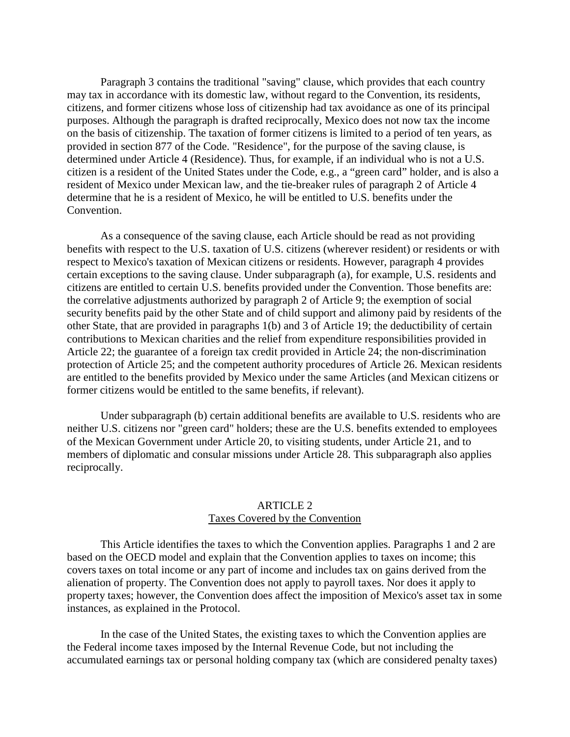Paragraph 3 contains the traditional "saving" clause, which provides that each country may tax in accordance with its domestic law, without regard to the Convention, its residents, citizens, and former citizens whose loss of citizenship had tax avoidance as one of its principal purposes. Although the paragraph is drafted reciprocally, Mexico does not now tax the income on the basis of citizenship. The taxation of former citizens is limited to a period of ten years, as provided in section 877 of the Code. "Residence", for the purpose of the saving clause, is determined under Article 4 (Residence). Thus, for example, if an individual who is not a U.S. citizen is a resident of the United States under the Code, e.g., a "green card" holder, and is also a resident of Mexico under Mexican law, and the tie-breaker rules of paragraph 2 of Article 4 determine that he is a resident of Mexico, he will be entitled to U.S. benefits under the Convention.

As a consequence of the saving clause, each Article should be read as not providing benefits with respect to the U.S. taxation of U.S. citizens (wherever resident) or residents or with respect to Mexico's taxation of Mexican citizens or residents. However, paragraph 4 provides certain exceptions to the saving clause. Under subparagraph (a), for example, U.S. residents and citizens are entitled to certain U.S. benefits provided under the Convention. Those benefits are: the correlative adjustments authorized by paragraph 2 of Article 9; the exemption of social security benefits paid by the other State and of child support and alimony paid by residents of the other State, that are provided in paragraphs 1(b) and 3 of Article 19; the deductibility of certain contributions to Mexican charities and the relief from expenditure responsibilities provided in Article 22; the guarantee of a foreign tax credit provided in Article 24; the non-discrimination protection of Article 25; and the competent authority procedures of Article 26. Mexican residents are entitled to the benefits provided by Mexico under the same Articles (and Mexican citizens or former citizens would be entitled to the same benefits, if relevant).

Under subparagraph (b) certain additional benefits are available to U.S. residents who are neither U.S. citizens nor "green card" holders; these are the U.S. benefits extended to employees of the Mexican Government under Article 20, to visiting students, under Article 21, and to members of diplomatic and consular missions under Article 28. This subparagraph also applies reciprocally.

## ARTICLE 2 Taxes Covered by the Convention

This Article identifies the taxes to which the Convention applies. Paragraphs 1 and 2 are based on the OECD model and explain that the Convention applies to taxes on income; this covers taxes on total income or any part of income and includes tax on gains derived from the alienation of property. The Convention does not apply to payroll taxes. Nor does it apply to property taxes; however, the Convention does affect the imposition of Mexico's asset tax in some instances, as explained in the Protocol.

In the case of the United States, the existing taxes to which the Convention applies are the Federal income taxes imposed by the Internal Revenue Code, but not including the accumulated earnings tax or personal holding company tax (which are considered penalty taxes)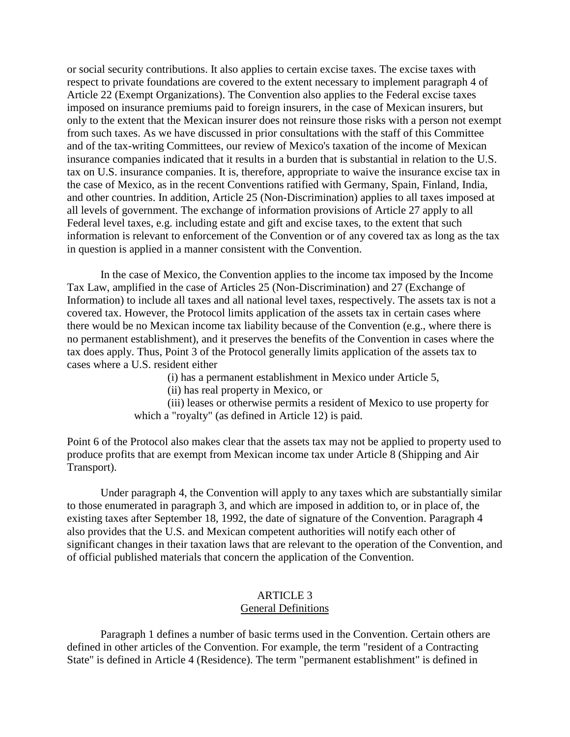or social security contributions. It also applies to certain excise taxes. The excise taxes with respect to private foundations are covered to the extent necessary to implement paragraph 4 of Article 22 (Exempt Organizations). The Convention also applies to the Federal excise taxes imposed on insurance premiums paid to foreign insurers, in the case of Mexican insurers, but only to the extent that the Mexican insurer does not reinsure those risks with a person not exempt from such taxes. As we have discussed in prior consultations with the staff of this Committee and of the tax-writing Committees, our review of Mexico's taxation of the income of Mexican insurance companies indicated that it results in a burden that is substantial in relation to the U.S. tax on U.S. insurance companies. It is, therefore, appropriate to waive the insurance excise tax in the case of Mexico, as in the recent Conventions ratified with Germany, Spain, Finland, India, and other countries. In addition, Article 25 (Non-Discrimination) applies to all taxes imposed at all levels of government. The exchange of information provisions of Article 27 apply to all Federal level taxes, e.g. including estate and gift and excise taxes, to the extent that such information is relevant to enforcement of the Convention or of any covered tax as long as the tax in question is applied in a manner consistent with the Convention.

In the case of Mexico, the Convention applies to the income tax imposed by the Income Tax Law, amplified in the case of Articles 25 (Non-Discrimination) and 27 (Exchange of Information) to include all taxes and all national level taxes, respectively. The assets tax is not a covered tax. However, the Protocol limits application of the assets tax in certain cases where there would be no Mexican income tax liability because of the Convention (e.g., where there is no permanent establishment), and it preserves the benefits of the Convention in cases where the tax does apply. Thus, Point 3 of the Protocol generally limits application of the assets tax to cases where a U.S. resident either

(i) has a permanent establishment in Mexico under Article 5,

(ii) has real property in Mexico, or

(iii) leases or otherwise permits a resident of Mexico to use property for which a "royalty" (as defined in Article 12) is paid.

Point 6 of the Protocol also makes clear that the assets tax may not be applied to property used to produce profits that are exempt from Mexican income tax under Article 8 (Shipping and Air Transport).

Under paragraph 4, the Convention will apply to any taxes which are substantially similar to those enumerated in paragraph 3, and which are imposed in addition to, or in place of, the existing taxes after September 18, 1992, the date of signature of the Convention. Paragraph 4 also provides that the U.S. and Mexican competent authorities will notify each other of significant changes in their taxation laws that are relevant to the operation of the Convention, and of official published materials that concern the application of the Convention.

#### ARTICLE 3 General Definitions

Paragraph 1 defines a number of basic terms used in the Convention. Certain others are defined in other articles of the Convention. For example, the term "resident of a Contracting State" is defined in Article 4 (Residence). The term "permanent establishment" is defined in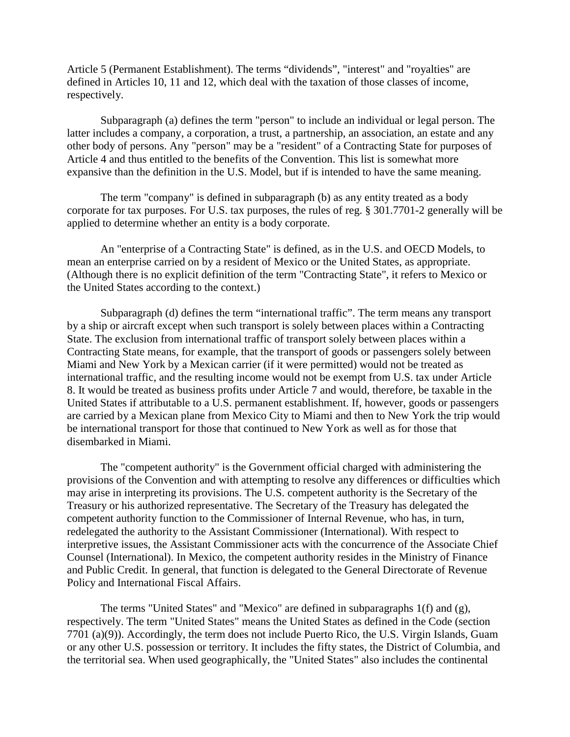Article 5 (Permanent Establishment). The terms "dividends", "interest" and "royalties" are defined in Articles 10, 11 and 12, which deal with the taxation of those classes of income, respectively.

Subparagraph (a) defines the term "person" to include an individual or legal person. The latter includes a company, a corporation, a trust, a partnership, an association, an estate and any other body of persons. Any "person" may be a "resident" of a Contracting State for purposes of Article 4 and thus entitled to the benefits of the Convention. This list is somewhat more expansive than the definition in the U.S. Model, but if is intended to have the same meaning.

The term "company" is defined in subparagraph (b) as any entity treated as a body corporate for tax purposes. For U.S. tax purposes, the rules of reg. § 301.7701-2 generally will be applied to determine whether an entity is a body corporate.

An "enterprise of a Contracting State" is defined, as in the U.S. and OECD Models, to mean an enterprise carried on by a resident of Mexico or the United States, as appropriate. (Although there is no explicit definition of the term "Contracting State", it refers to Mexico or the United States according to the context.)

Subparagraph (d) defines the term "international traffic". The term means any transport by a ship or aircraft except when such transport is solely between places within a Contracting State. The exclusion from international traffic of transport solely between places within a Contracting State means, for example, that the transport of goods or passengers solely between Miami and New York by a Mexican carrier (if it were permitted) would not be treated as international traffic, and the resulting income would not be exempt from U.S. tax under Article 8. It would be treated as business profits under Article 7 and would, therefore, be taxable in the United States if attributable to a U.S. permanent establishment. If, however, goods or passengers are carried by a Mexican plane from Mexico City to Miami and then to New York the trip would be international transport for those that continued to New York as well as for those that disembarked in Miami.

The "competent authority" is the Government official charged with administering the provisions of the Convention and with attempting to resolve any differences or difficulties which may arise in interpreting its provisions. The U.S. competent authority is the Secretary of the Treasury or his authorized representative. The Secretary of the Treasury has delegated the competent authority function to the Commissioner of Internal Revenue, who has, in turn, redelegated the authority to the Assistant Commissioner (International). With respect to interpretive issues, the Assistant Commissioner acts with the concurrence of the Associate Chief Counsel (International). In Mexico, the competent authority resides in the Ministry of Finance and Public Credit. In general, that function is delegated to the General Directorate of Revenue Policy and International Fiscal Affairs.

The terms "United States" and "Mexico" are defined in subparagraphs 1(f) and (g), respectively. The term "United States" means the United States as defined in the Code (section 7701 (a)(9)). Accordingly, the term does not include Puerto Rico, the U.S. Virgin Islands, Guam or any other U.S. possession or territory. It includes the fifty states, the District of Columbia, and the territorial sea. When used geographically, the "United States" also includes the continental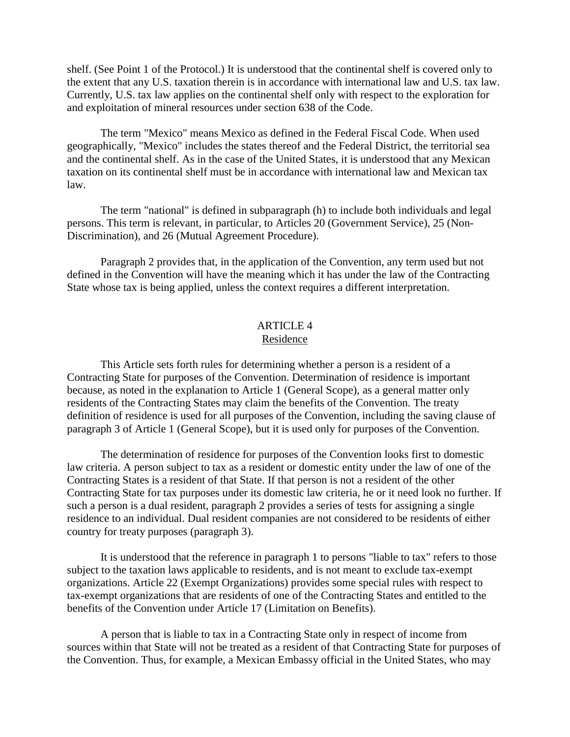shelf. (See Point 1 of the Protocol.) It is understood that the continental shelf is covered only to the extent that any U.S. taxation therein is in accordance with international law and U.S. tax law. Currently, U.S. tax law applies on the continental shelf only with respect to the exploration for and exploitation of mineral resources under section 638 of the Code.

The term "Mexico" means Mexico as defined in the Federal Fiscal Code. When used geographically, "Mexico" includes the states thereof and the Federal District, the territorial sea and the continental shelf. As in the case of the United States, it is understood that any Mexican taxation on its continental shelf must be in accordance with international law and Mexican tax law.

The term "national" is defined in subparagraph (h) to include both individuals and legal persons. This term is relevant, in particular, to Articles 20 (Government Service), 25 (Non-Discrimination), and 26 (Mutual Agreement Procedure).

Paragraph 2 provides that, in the application of the Convention, any term used but not defined in the Convention will have the meaning which it has under the law of the Contracting State whose tax is being applied, unless the context requires a different interpretation.

#### ARTICLE 4 Residence

This Article sets forth rules for determining whether a person is a resident of a Contracting State for purposes of the Convention. Determination of residence is important because, as noted in the explanation to Article 1 (General Scope), as a general matter only residents of the Contracting States may claim the benefits of the Convention. The treaty definition of residence is used for all purposes of the Convention, including the saving clause of paragraph 3 of Article 1 (General Scope), but it is used only for purposes of the Convention.

The determination of residence for purposes of the Convention looks first to domestic law criteria. A person subject to tax as a resident or domestic entity under the law of one of the Contracting States is a resident of that State. If that person is not a resident of the other Contracting State for tax purposes under its domestic law criteria, he or it need look no further. If such a person is a dual resident, paragraph 2 provides a series of tests for assigning a single residence to an individual. Dual resident companies are not considered to be residents of either country for treaty purposes (paragraph 3).

It is understood that the reference in paragraph 1 to persons "liable to tax" refers to those subject to the taxation laws applicable to residents, and is not meant to exclude tax-exempt organizations. Article 22 (Exempt Organizations) provides some special rules with respect to tax-exempt organizations that are residents of one of the Contracting States and entitled to the benefits of the Convention under Article 17 (Limitation on Benefits).

A person that is liable to tax in a Contracting State only in respect of income from sources within that State will not be treated as a resident of that Contracting State for purposes of the Convention. Thus, for example, a Mexican Embassy official in the United States, who may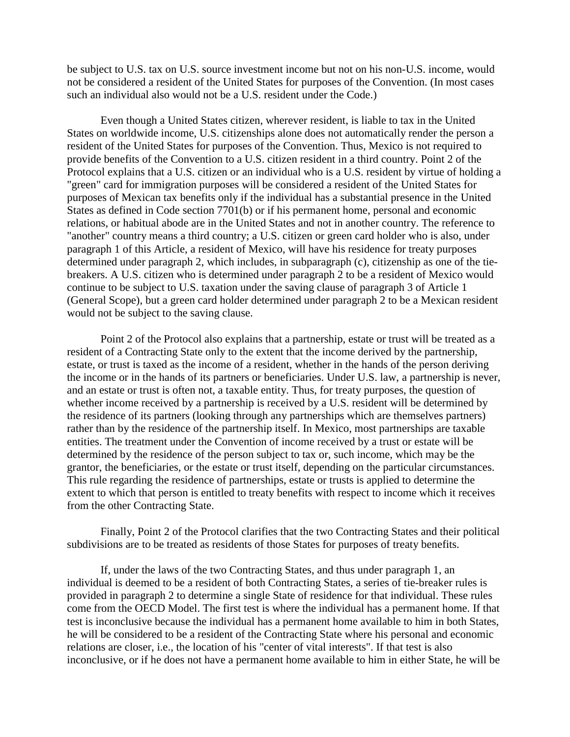be subject to U.S. tax on U.S. source investment income but not on his non-U.S. income, would not be considered a resident of the United States for purposes of the Convention. (In most cases such an individual also would not be a U.S. resident under the Code.)

Even though a United States citizen, wherever resident, is liable to tax in the United States on worldwide income, U.S. citizenships alone does not automatically render the person a resident of the United States for purposes of the Convention. Thus, Mexico is not required to provide benefits of the Convention to a U.S. citizen resident in a third country. Point 2 of the Protocol explains that a U.S. citizen or an individual who is a U.S. resident by virtue of holding a "green" card for immigration purposes will be considered a resident of the United States for purposes of Mexican tax benefits only if the individual has a substantial presence in the United States as defined in Code section 7701(b) or if his permanent home, personal and economic relations, or habitual abode are in the United States and not in another country. The reference to "another" country means a third country; a U.S. citizen or green card holder who is also, under paragraph 1 of this Article, a resident of Mexico, will have his residence for treaty purposes determined under paragraph 2, which includes, in subparagraph (c), citizenship as one of the tiebreakers. A U.S. citizen who is determined under paragraph 2 to be a resident of Mexico would continue to be subject to U.S. taxation under the saving clause of paragraph 3 of Article 1 (General Scope), but a green card holder determined under paragraph 2 to be a Mexican resident would not be subject to the saving clause.

Point 2 of the Protocol also explains that a partnership, estate or trust will be treated as a resident of a Contracting State only to the extent that the income derived by the partnership, estate, or trust is taxed as the income of a resident, whether in the hands of the person deriving the income or in the hands of its partners or beneficiaries. Under U.S. law, a partnership is never, and an estate or trust is often not, a taxable entity. Thus, for treaty purposes, the question of whether income received by a partnership is received by a U.S. resident will be determined by the residence of its partners (looking through any partnerships which are themselves partners) rather than by the residence of the partnership itself. In Mexico, most partnerships are taxable entities. The treatment under the Convention of income received by a trust or estate will be determined by the residence of the person subject to tax or, such income, which may be the grantor, the beneficiaries, or the estate or trust itself, depending on the particular circumstances. This rule regarding the residence of partnerships, estate or trusts is applied to determine the extent to which that person is entitled to treaty benefits with respect to income which it receives from the other Contracting State.

Finally, Point 2 of the Protocol clarifies that the two Contracting States and their political subdivisions are to be treated as residents of those States for purposes of treaty benefits.

If, under the laws of the two Contracting States, and thus under paragraph 1, an individual is deemed to be a resident of both Contracting States, a series of tie-breaker rules is provided in paragraph 2 to determine a single State of residence for that individual. These rules come from the OECD Model. The first test is where the individual has a permanent home. If that test is inconclusive because the individual has a permanent home available to him in both States, he will be considered to be a resident of the Contracting State where his personal and economic relations are closer, i.e., the location of his "center of vital interests". If that test is also inconclusive, or if he does not have a permanent home available to him in either State, he will be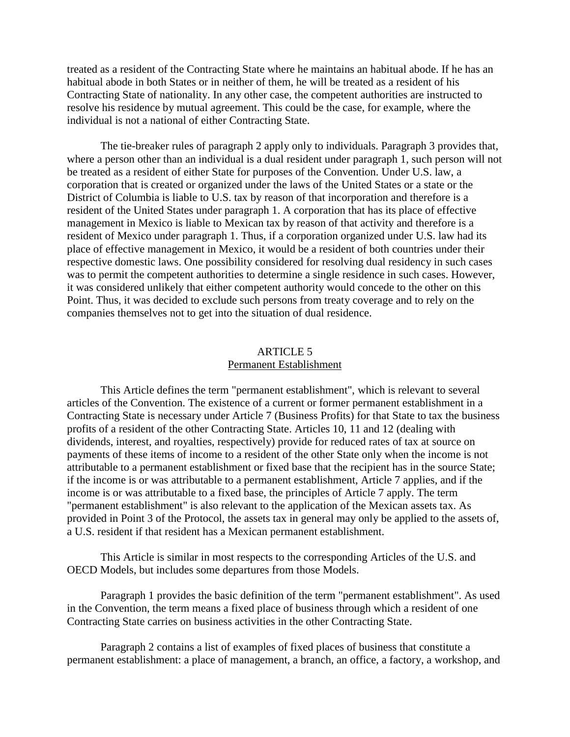treated as a resident of the Contracting State where he maintains an habitual abode. If he has an habitual abode in both States or in neither of them, he will be treated as a resident of his Contracting State of nationality. In any other case, the competent authorities are instructed to resolve his residence by mutual agreement. This could be the case, for example, where the individual is not a national of either Contracting State.

The tie-breaker rules of paragraph 2 apply only to individuals. Paragraph 3 provides that, where a person other than an individual is a dual resident under paragraph 1, such person will not be treated as a resident of either State for purposes of the Convention. Under U.S. law, a corporation that is created or organized under the laws of the United States or a state or the District of Columbia is liable to U.S. tax by reason of that incorporation and therefore is a resident of the United States under paragraph 1. A corporation that has its place of effective management in Mexico is liable to Mexican tax by reason of that activity and therefore is a resident of Mexico under paragraph 1. Thus, if a corporation organized under U.S. law had its place of effective management in Mexico, it would be a resident of both countries under their respective domestic laws. One possibility considered for resolving dual residency in such cases was to permit the competent authorities to determine a single residence in such cases. However, it was considered unlikely that either competent authority would concede to the other on this Point. Thus, it was decided to exclude such persons from treaty coverage and to rely on the companies themselves not to get into the situation of dual residence.

## ARTICLE 5 Permanent Establishment

This Article defines the term "permanent establishment", which is relevant to several articles of the Convention. The existence of a current or former permanent establishment in a Contracting State is necessary under Article 7 (Business Profits) for that State to tax the business profits of a resident of the other Contracting State. Articles 10, 11 and 12 (dealing with dividends, interest, and royalties, respectively) provide for reduced rates of tax at source on payments of these items of income to a resident of the other State only when the income is not attributable to a permanent establishment or fixed base that the recipient has in the source State; if the income is or was attributable to a permanent establishment, Article 7 applies, and if the income is or was attributable to a fixed base, the principles of Article 7 apply. The term "permanent establishment" is also relevant to the application of the Mexican assets tax. As provided in Point 3 of the Protocol, the assets tax in general may only be applied to the assets of, a U.S. resident if that resident has a Mexican permanent establishment.

This Article is similar in most respects to the corresponding Articles of the U.S. and OECD Models, but includes some departures from those Models.

Paragraph 1 provides the basic definition of the term "permanent establishment". As used in the Convention, the term means a fixed place of business through which a resident of one Contracting State carries on business activities in the other Contracting State.

Paragraph 2 contains a list of examples of fixed places of business that constitute a permanent establishment: a place of management, a branch, an office, a factory, a workshop, and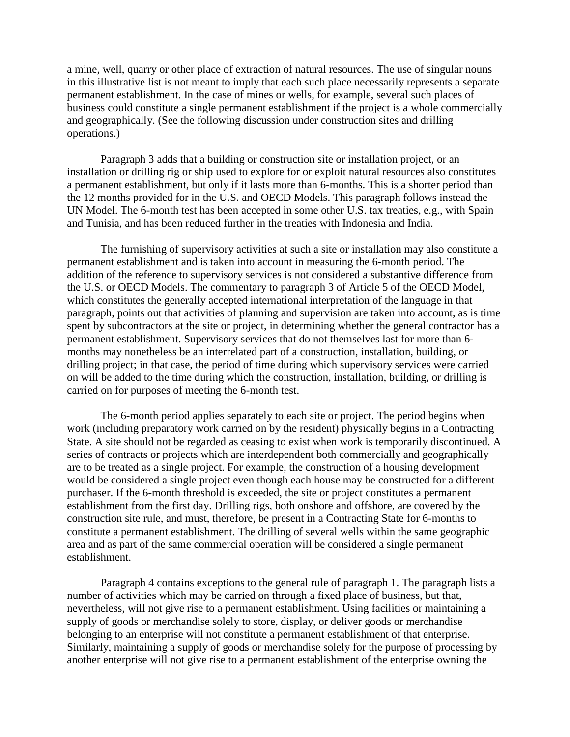a mine, well, quarry or other place of extraction of natural resources. The use of singular nouns in this illustrative list is not meant to imply that each such place necessarily represents a separate permanent establishment. In the case of mines or wells, for example, several such places of business could constitute a single permanent establishment if the project is a whole commercially and geographically. (See the following discussion under construction sites and drilling operations.)

Paragraph 3 adds that a building or construction site or installation project, or an installation or drilling rig or ship used to explore for or exploit natural resources also constitutes a permanent establishment, but only if it lasts more than 6-months. This is a shorter period than the 12 months provided for in the U.S. and OECD Models. This paragraph follows instead the UN Model. The 6-month test has been accepted in some other U.S. tax treaties, e.g., with Spain and Tunisia, and has been reduced further in the treaties with Indonesia and India.

The furnishing of supervisory activities at such a site or installation may also constitute a permanent establishment and is taken into account in measuring the 6-month period. The addition of the reference to supervisory services is not considered a substantive difference from the U.S. or OECD Models. The commentary to paragraph 3 of Article 5 of the OECD Model, which constitutes the generally accepted international interpretation of the language in that paragraph, points out that activities of planning and supervision are taken into account, as is time spent by subcontractors at the site or project, in determining whether the general contractor has a permanent establishment. Supervisory services that do not themselves last for more than 6 months may nonetheless be an interrelated part of a construction, installation, building, or drilling project; in that case, the period of time during which supervisory services were carried on will be added to the time during which the construction, installation, building, or drilling is carried on for purposes of meeting the 6-month test.

The 6-month period applies separately to each site or project. The period begins when work (including preparatory work carried on by the resident) physically begins in a Contracting State. A site should not be regarded as ceasing to exist when work is temporarily discontinued. A series of contracts or projects which are interdependent both commercially and geographically are to be treated as a single project. For example, the construction of a housing development would be considered a single project even though each house may be constructed for a different purchaser. If the 6-month threshold is exceeded, the site or project constitutes a permanent establishment from the first day. Drilling rigs, both onshore and offshore, are covered by the construction site rule, and must, therefore, be present in a Contracting State for 6-months to constitute a permanent establishment. The drilling of several wells within the same geographic area and as part of the same commercial operation will be considered a single permanent establishment.

Paragraph 4 contains exceptions to the general rule of paragraph 1. The paragraph lists a number of activities which may be carried on through a fixed place of business, but that, nevertheless, will not give rise to a permanent establishment. Using facilities or maintaining a supply of goods or merchandise solely to store, display, or deliver goods or merchandise belonging to an enterprise will not constitute a permanent establishment of that enterprise. Similarly, maintaining a supply of goods or merchandise solely for the purpose of processing by another enterprise will not give rise to a permanent establishment of the enterprise owning the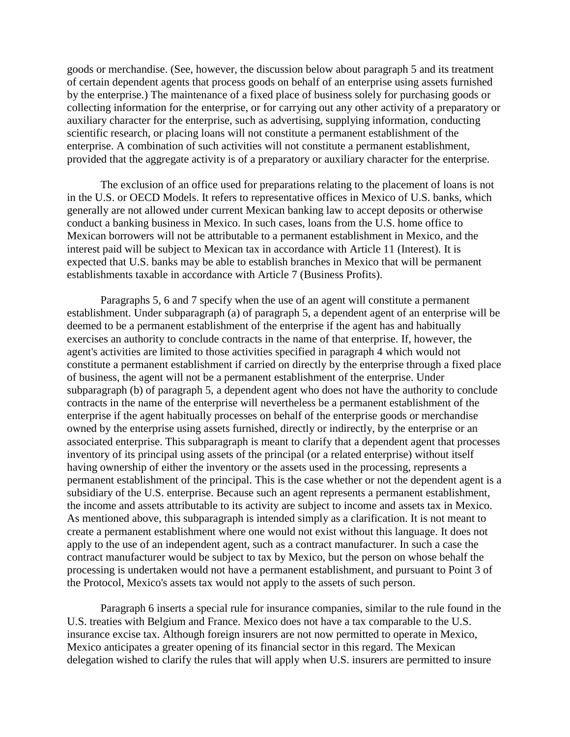goods or merchandise. (See, however, the discussion below about paragraph 5 and its treatment of certain dependent agents that process goods on behalf of an enterprise using assets furnished by the enterprise.) The maintenance of a fixed place of business solely for purchasing goods or collecting information for the enterprise, or for carrying out any other activity of a preparatory or auxiliary character for the enterprise, such as advertising, supplying information, conducting scientific research, or placing loans will not constitute a permanent establishment of the enterprise. A combination of such activities will not constitute a permanent establishment, provided that the aggregate activity is of a preparatory or auxiliary character for the enterprise.

The exclusion of an office used for preparations relating to the placement of loans is not in the U.S. or OECD Models. It refers to representative offices in Mexico of U.S. banks, which generally are not allowed under current Mexican banking law to accept deposits or otherwise conduct a banking business in Mexico. In such cases, loans from the U.S. home office to Mexican borrowers will not be attributable to a permanent establishment in Mexico, and the interest paid will be subject to Mexican tax in accordance with Article 11 (Interest). It is expected that U.S. banks may be able to establish branches in Mexico that will be permanent establishments taxable in accordance with Article 7 (Business Profits).

Paragraphs 5, 6 and 7 specify when the use of an agent will constitute a permanent establishment. Under subparagraph (a) of paragraph 5, a dependent agent of an enterprise will be deemed to be a permanent establishment of the enterprise if the agent has and habitually exercises an authority to conclude contracts in the name of that enterprise. If, however, the agent's activities are limited to those activities specified in paragraph 4 which would not constitute a permanent establishment if carried on directly by the enterprise through a fixed place of business, the agent will not be a permanent establishment of the enterprise. Under subparagraph (b) of paragraph 5, a dependent agent who does not have the authority to conclude contracts in the name of the enterprise will nevertheless be a permanent establishment of the enterprise if the agent habitually processes on behalf of the enterprise goods or merchandise owned by the enterprise using assets furnished, directly or indirectly, by the enterprise or an associated enterprise. This subparagraph is meant to clarify that a dependent agent that processes inventory of its principal using assets of the principal (or a related enterprise) without itself having ownership of either the inventory or the assets used in the processing, represents a permanent establishment of the principal. This is the case whether or not the dependent agent is a subsidiary of the U.S. enterprise. Because such an agent represents a permanent establishment, the income and assets attributable to its activity are subject to income and assets tax in Mexico. As mentioned above, this subparagraph is intended simply as a clarification. It is not meant to create a permanent establishment where one would not exist without this language. It does not apply to the use of an independent agent, such as a contract manufacturer. In such a case the contract manufacturer would be subject to tax by Mexico, but the person on whose behalf the processing is undertaken would not have a permanent establishment, and pursuant to Point 3 of the Protocol, Mexico's assets tax would not apply to the assets of such person.

Paragraph 6 inserts a special rule for insurance companies, similar to the rule found in the U.S. treaties with Belgium and France. Mexico does not have a tax comparable to the U.S. insurance excise tax. Although foreign insurers are not now permitted to operate in Mexico, Mexico anticipates a greater opening of its financial sector in this regard. The Mexican delegation wished to clarify the rules that will apply when U.S. insurers are permitted to insure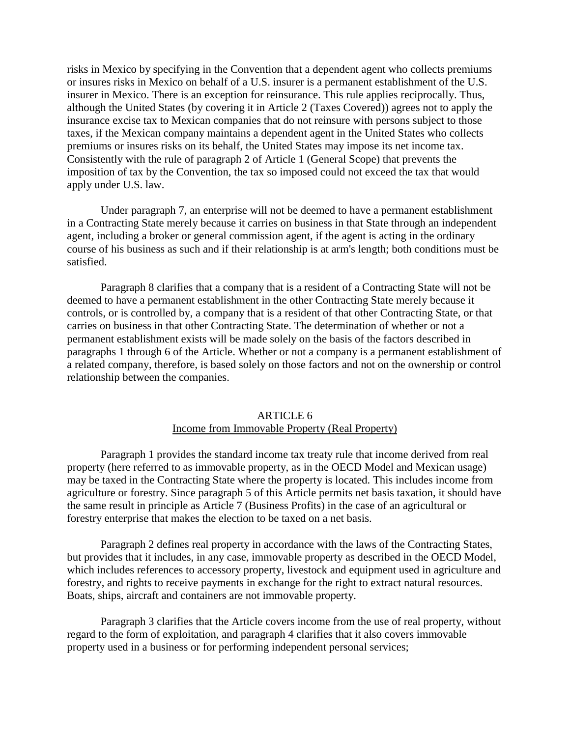risks in Mexico by specifying in the Convention that a dependent agent who collects premiums or insures risks in Mexico on behalf of a U.S. insurer is a permanent establishment of the U.S. insurer in Mexico. There is an exception for reinsurance. This rule applies reciprocally. Thus, although the United States (by covering it in Article 2 (Taxes Covered)) agrees not to apply the insurance excise tax to Mexican companies that do not reinsure with persons subject to those taxes, if the Mexican company maintains a dependent agent in the United States who collects premiums or insures risks on its behalf, the United States may impose its net income tax. Consistently with the rule of paragraph 2 of Article 1 (General Scope) that prevents the imposition of tax by the Convention, the tax so imposed could not exceed the tax that would apply under U.S. law.

Under paragraph 7, an enterprise will not be deemed to have a permanent establishment in a Contracting State merely because it carries on business in that State through an independent agent, including a broker or general commission agent, if the agent is acting in the ordinary course of his business as such and if their relationship is at arm's length; both conditions must be satisfied.

Paragraph 8 clarifies that a company that is a resident of a Contracting State will not be deemed to have a permanent establishment in the other Contracting State merely because it controls, or is controlled by, a company that is a resident of that other Contracting State, or that carries on business in that other Contracting State. The determination of whether or not a permanent establishment exists will be made solely on the basis of the factors described in paragraphs 1 through 6 of the Article. Whether or not a company is a permanent establishment of a related company, therefore, is based solely on those factors and not on the ownership or control relationship between the companies.

## ARTICLE 6

#### Income from Immovable Property (Real Property)

Paragraph 1 provides the standard income tax treaty rule that income derived from real property (here referred to as immovable property, as in the OECD Model and Mexican usage) may be taxed in the Contracting State where the property is located. This includes income from agriculture or forestry. Since paragraph 5 of this Article permits net basis taxation, it should have the same result in principle as Article 7 (Business Profits) in the case of an agricultural or forestry enterprise that makes the election to be taxed on a net basis.

Paragraph 2 defines real property in accordance with the laws of the Contracting States, but provides that it includes, in any case, immovable property as described in the OECD Model, which includes references to accessory property, livestock and equipment used in agriculture and forestry, and rights to receive payments in exchange for the right to extract natural resources. Boats, ships, aircraft and containers are not immovable property.

Paragraph 3 clarifies that the Article covers income from the use of real property, without regard to the form of exploitation, and paragraph 4 clarifies that it also covers immovable property used in a business or for performing independent personal services;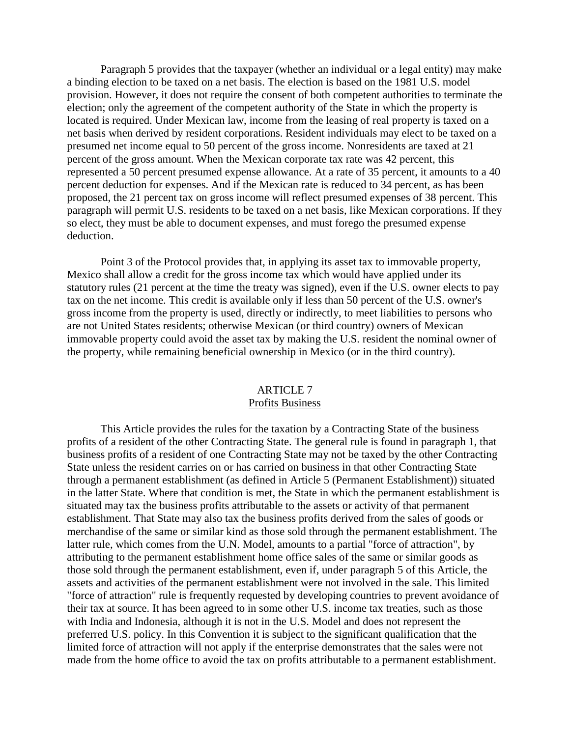Paragraph 5 provides that the taxpayer (whether an individual or a legal entity) may make a binding election to be taxed on a net basis. The election is based on the 1981 U.S. model provision. However, it does not require the consent of both competent authorities to terminate the election; only the agreement of the competent authority of the State in which the property is located is required. Under Mexican law, income from the leasing of real property is taxed on a net basis when derived by resident corporations. Resident individuals may elect to be taxed on a presumed net income equal to 50 percent of the gross income. Nonresidents are taxed at 21 percent of the gross amount. When the Mexican corporate tax rate was 42 percent, this represented a 50 percent presumed expense allowance. At a rate of 35 percent, it amounts to a 40 percent deduction for expenses. And if the Mexican rate is reduced to 34 percent, as has been proposed, the 21 percent tax on gross income will reflect presumed expenses of 38 percent. This paragraph will permit U.S. residents to be taxed on a net basis, like Mexican corporations. If they so elect, they must be able to document expenses, and must forego the presumed expense deduction.

Point 3 of the Protocol provides that, in applying its asset tax to immovable property, Mexico shall allow a credit for the gross income tax which would have applied under its statutory rules (21 percent at the time the treaty was signed), even if the U.S. owner elects to pay tax on the net income. This credit is available only if less than 50 percent of the U.S. owner's gross income from the property is used, directly or indirectly, to meet liabilities to persons who are not United States residents; otherwise Mexican (or third country) owners of Mexican immovable property could avoid the asset tax by making the U.S. resident the nominal owner of the property, while remaining beneficial ownership in Mexico (or in the third country).

#### ARTICLE 7 Profits Business

This Article provides the rules for the taxation by a Contracting State of the business profits of a resident of the other Contracting State. The general rule is found in paragraph 1, that business profits of a resident of one Contracting State may not be taxed by the other Contracting State unless the resident carries on or has carried on business in that other Contracting State through a permanent establishment (as defined in Article 5 (Permanent Establishment)) situated in the latter State. Where that condition is met, the State in which the permanent establishment is situated may tax the business profits attributable to the assets or activity of that permanent establishment. That State may also tax the business profits derived from the sales of goods or merchandise of the same or similar kind as those sold through the permanent establishment. The latter rule, which comes from the U.N. Model, amounts to a partial "force of attraction", by attributing to the permanent establishment home office sales of the same or similar goods as those sold through the permanent establishment, even if, under paragraph 5 of this Article, the assets and activities of the permanent establishment were not involved in the sale. This limited "force of attraction" rule is frequently requested by developing countries to prevent avoidance of their tax at source. It has been agreed to in some other U.S. income tax treaties, such as those with India and Indonesia, although it is not in the U.S. Model and does not represent the preferred U.S. policy. In this Convention it is subject to the significant qualification that the limited force of attraction will not apply if the enterprise demonstrates that the sales were not made from the home office to avoid the tax on profits attributable to a permanent establishment.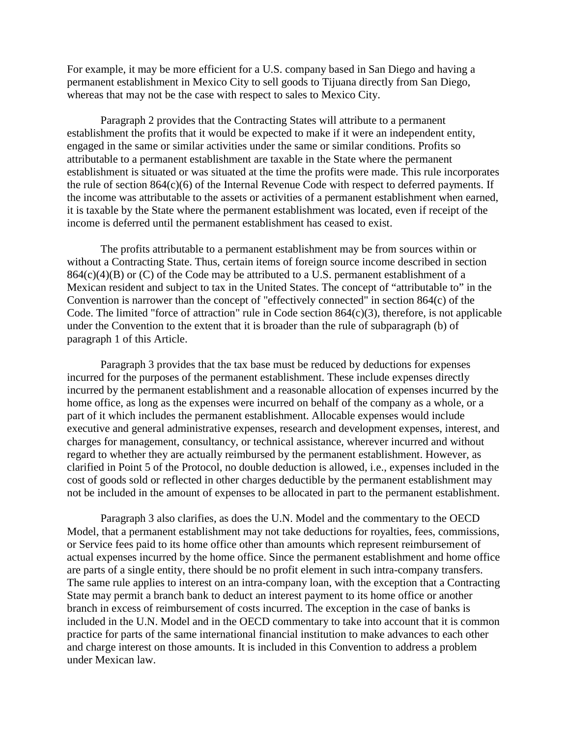For example, it may be more efficient for a U.S. company based in San Diego and having a permanent establishment in Mexico City to sell goods to Tijuana directly from San Diego, whereas that may not be the case with respect to sales to Mexico City.

Paragraph 2 provides that the Contracting States will attribute to a permanent establishment the profits that it would be expected to make if it were an independent entity, engaged in the same or similar activities under the same or similar conditions. Profits so attributable to a permanent establishment are taxable in the State where the permanent establishment is situated or was situated at the time the profits were made. This rule incorporates the rule of section 864(c)(6) of the Internal Revenue Code with respect to deferred payments. If the income was attributable to the assets or activities of a permanent establishment when earned, it is taxable by the State where the permanent establishment was located, even if receipt of the income is deferred until the permanent establishment has ceased to exist.

The profits attributable to a permanent establishment may be from sources within or without a Contracting State. Thus, certain items of foreign source income described in section  $864(c)(4)(B)$  or (C) of the Code may be attributed to a U.S. permanent establishment of a Mexican resident and subject to tax in the United States. The concept of "attributable to" in the Convention is narrower than the concept of "effectively connected" in section 864(c) of the Code. The limited "force of attraction" rule in Code section 864(c)(3), therefore, is not applicable under the Convention to the extent that it is broader than the rule of subparagraph (b) of paragraph 1 of this Article.

Paragraph 3 provides that the tax base must be reduced by deductions for expenses incurred for the purposes of the permanent establishment. These include expenses directly incurred by the permanent establishment and a reasonable allocation of expenses incurred by the home office, as long as the expenses were incurred on behalf of the company as a whole, or a part of it which includes the permanent establishment. Allocable expenses would include executive and general administrative expenses, research and development expenses, interest, and charges for management, consultancy, or technical assistance, wherever incurred and without regard to whether they are actually reimbursed by the permanent establishment. However, as clarified in Point 5 of the Protocol, no double deduction is allowed, i.e., expenses included in the cost of goods sold or reflected in other charges deductible by the permanent establishment may not be included in the amount of expenses to be allocated in part to the permanent establishment.

Paragraph 3 also clarifies, as does the U.N. Model and the commentary to the OECD Model, that a permanent establishment may not take deductions for royalties, fees, commissions, or Service fees paid to its home office other than amounts which represent reimbursement of actual expenses incurred by the home office. Since the permanent establishment and home office are parts of a single entity, there should be no profit element in such intra-company transfers. The same rule applies to interest on an intra-company loan, with the exception that a Contracting State may permit a branch bank to deduct an interest payment to its home office or another branch in excess of reimbursement of costs incurred. The exception in the case of banks is included in the U.N. Model and in the OECD commentary to take into account that it is common practice for parts of the same international financial institution to make advances to each other and charge interest on those amounts. It is included in this Convention to address a problem under Mexican law.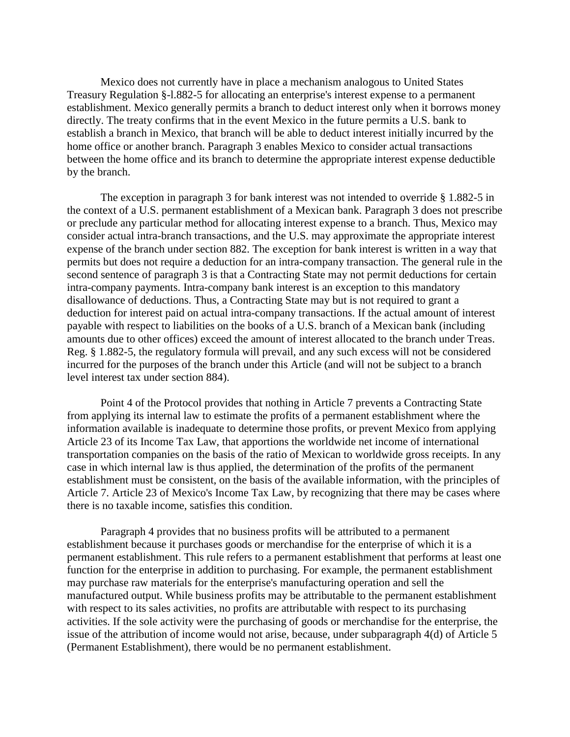Mexico does not currently have in place a mechanism analogous to United States Treasury Regulation §-l.882-5 for allocating an enterprise's interest expense to a permanent establishment. Mexico generally permits a branch to deduct interest only when it borrows money directly. The treaty confirms that in the event Mexico in the future permits a U.S. bank to establish a branch in Mexico, that branch will be able to deduct interest initially incurred by the home office or another branch. Paragraph 3 enables Mexico to consider actual transactions between the home office and its branch to determine the appropriate interest expense deductible by the branch.

The exception in paragraph 3 for bank interest was not intended to override § 1.882-5 in the context of a U.S. permanent establishment of a Mexican bank. Paragraph 3 does not prescribe or preclude any particular method for allocating interest expense to a branch. Thus, Mexico may consider actual intra-branch transactions, and the U.S. may approximate the appropriate interest expense of the branch under section 882. The exception for bank interest is written in a way that permits but does not require a deduction for an intra-company transaction. The general rule in the second sentence of paragraph 3 is that a Contracting State may not permit deductions for certain intra-company payments. Intra-company bank interest is an exception to this mandatory disallowance of deductions. Thus, a Contracting State may but is not required to grant a deduction for interest paid on actual intra-company transactions. If the actual amount of interest payable with respect to liabilities on the books of a U.S. branch of a Mexican bank (including amounts due to other offices) exceed the amount of interest allocated to the branch under Treas. Reg. § 1.882-5, the regulatory formula will prevail, and any such excess will not be considered incurred for the purposes of the branch under this Article (and will not be subject to a branch level interest tax under section 884).

Point 4 of the Protocol provides that nothing in Article 7 prevents a Contracting State from applying its internal law to estimate the profits of a permanent establishment where the information available is inadequate to determine those profits, or prevent Mexico from applying Article 23 of its Income Tax Law, that apportions the worldwide net income of international transportation companies on the basis of the ratio of Mexican to worldwide gross receipts. In any case in which internal law is thus applied, the determination of the profits of the permanent establishment must be consistent, on the basis of the available information, with the principles of Article 7. Article 23 of Mexico's Income Tax Law, by recognizing that there may be cases where there is no taxable income, satisfies this condition.

Paragraph 4 provides that no business profits will be attributed to a permanent establishment because it purchases goods or merchandise for the enterprise of which it is a permanent establishment. This rule refers to a permanent establishment that performs at least one function for the enterprise in addition to purchasing. For example, the permanent establishment may purchase raw materials for the enterprise's manufacturing operation and sell the manufactured output. While business profits may be attributable to the permanent establishment with respect to its sales activities, no profits are attributable with respect to its purchasing activities. If the sole activity were the purchasing of goods or merchandise for the enterprise, the issue of the attribution of income would not arise, because, under subparagraph 4(d) of Article 5 (Permanent Establishment), there would be no permanent establishment.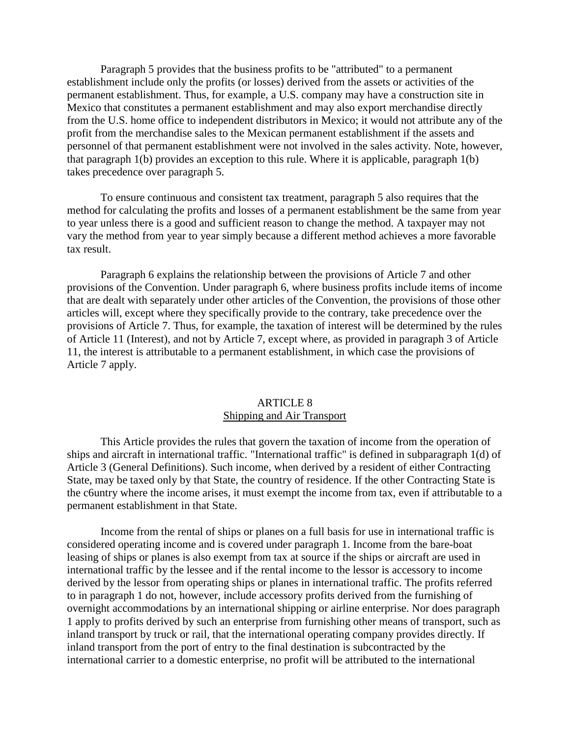Paragraph 5 provides that the business profits to be "attributed" to a permanent establishment include only the profits (or losses) derived from the assets or activities of the permanent establishment. Thus, for example, a U.S. company may have a construction site in Mexico that constitutes a permanent establishment and may also export merchandise directly from the U.S. home office to independent distributors in Mexico; it would not attribute any of the profit from the merchandise sales to the Mexican permanent establishment if the assets and personnel of that permanent establishment were not involved in the sales activity. Note, however, that paragraph 1(b) provides an exception to this rule. Where it is applicable, paragraph 1(b) takes precedence over paragraph 5.

To ensure continuous and consistent tax treatment, paragraph 5 also requires that the method for calculating the profits and losses of a permanent establishment be the same from year to year unless there is a good and sufficient reason to change the method. A taxpayer may not vary the method from year to year simply because a different method achieves a more favorable tax result.

Paragraph 6 explains the relationship between the provisions of Article 7 and other provisions of the Convention. Under paragraph 6, where business profits include items of income that are dealt with separately under other articles of the Convention, the provisions of those other articles will, except where they specifically provide to the contrary, take precedence over the provisions of Article 7. Thus, for example, the taxation of interest will be determined by the rules of Article 11 (Interest), and not by Article 7, except where, as provided in paragraph 3 of Article 11, the interest is attributable to a permanent establishment, in which case the provisions of Article 7 apply.

#### ARTICLE 8 Shipping and Air Transport

This Article provides the rules that govern the taxation of income from the operation of ships and aircraft in international traffic. "International traffic" is defined in subparagraph 1(d) of Article 3 (General Definitions). Such income, when derived by a resident of either Contracting State, may be taxed only by that State, the country of residence. If the other Contracting State is the c6untry where the income arises, it must exempt the income from tax, even if attributable to a permanent establishment in that State.

Income from the rental of ships or planes on a full basis for use in international traffic is considered operating income and is covered under paragraph 1. Income from the bare-boat leasing of ships or planes is also exempt from tax at source if the ships or aircraft are used in international traffic by the lessee and if the rental income to the lessor is accessory to income derived by the lessor from operating ships or planes in international traffic. The profits referred to in paragraph 1 do not, however, include accessory profits derived from the furnishing of overnight accommodations by an international shipping or airline enterprise. Nor does paragraph 1 apply to profits derived by such an enterprise from furnishing other means of transport, such as inland transport by truck or rail, that the international operating company provides directly. If inland transport from the port of entry to the final destination is subcontracted by the international carrier to a domestic enterprise, no profit will be attributed to the international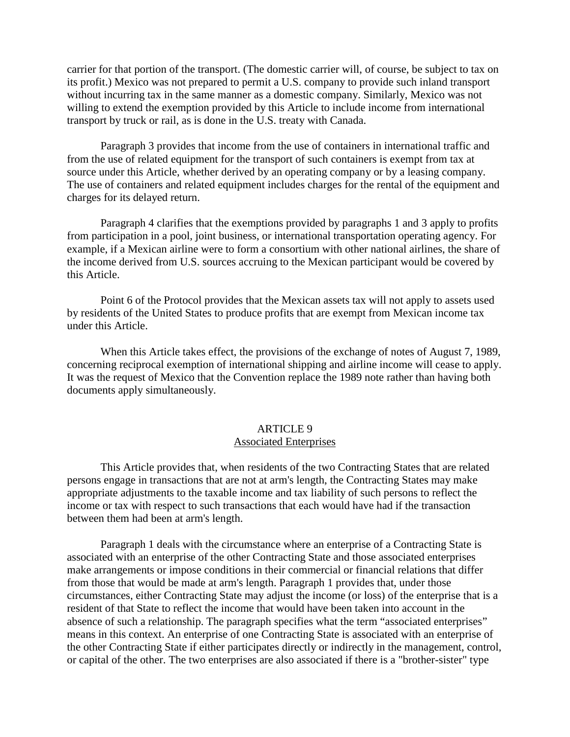carrier for that portion of the transport. (The domestic carrier will, of course, be subject to tax on its profit.) Mexico was not prepared to permit a U.S. company to provide such inland transport without incurring tax in the same manner as a domestic company. Similarly, Mexico was not willing to extend the exemption provided by this Article to include income from international transport by truck or rail, as is done in the U.S. treaty with Canada.

Paragraph 3 provides that income from the use of containers in international traffic and from the use of related equipment for the transport of such containers is exempt from tax at source under this Article, whether derived by an operating company or by a leasing company. The use of containers and related equipment includes charges for the rental of the equipment and charges for its delayed return.

Paragraph 4 clarifies that the exemptions provided by paragraphs 1 and 3 apply to profits from participation in a pool, joint business, or international transportation operating agency. For example, if a Mexican airline were to form a consortium with other national airlines, the share of the income derived from U.S. sources accruing to the Mexican participant would be covered by this Article.

Point 6 of the Protocol provides that the Mexican assets tax will not apply to assets used by residents of the United States to produce profits that are exempt from Mexican income tax under this Article.

When this Article takes effect, the provisions of the exchange of notes of August 7, 1989, concerning reciprocal exemption of international shipping and airline income will cease to apply. It was the request of Mexico that the Convention replace the 1989 note rather than having both documents apply simultaneously.

### ARTICLE 9 Associated Enterprises

This Article provides that, when residents of the two Contracting States that are related persons engage in transactions that are not at arm's length, the Contracting States may make appropriate adjustments to the taxable income and tax liability of such persons to reflect the income or tax with respect to such transactions that each would have had if the transaction between them had been at arm's length.

Paragraph 1 deals with the circumstance where an enterprise of a Contracting State is associated with an enterprise of the other Contracting State and those associated enterprises make arrangements or impose conditions in their commercial or financial relations that differ from those that would be made at arm's length. Paragraph 1 provides that, under those circumstances, either Contracting State may adjust the income (or loss) of the enterprise that is a resident of that State to reflect the income that would have been taken into account in the absence of such a relationship. The paragraph specifies what the term "associated enterprises" means in this context. An enterprise of one Contracting State is associated with an enterprise of the other Contracting State if either participates directly or indirectly in the management, control, or capital of the other. The two enterprises are also associated if there is a "brother-sister" type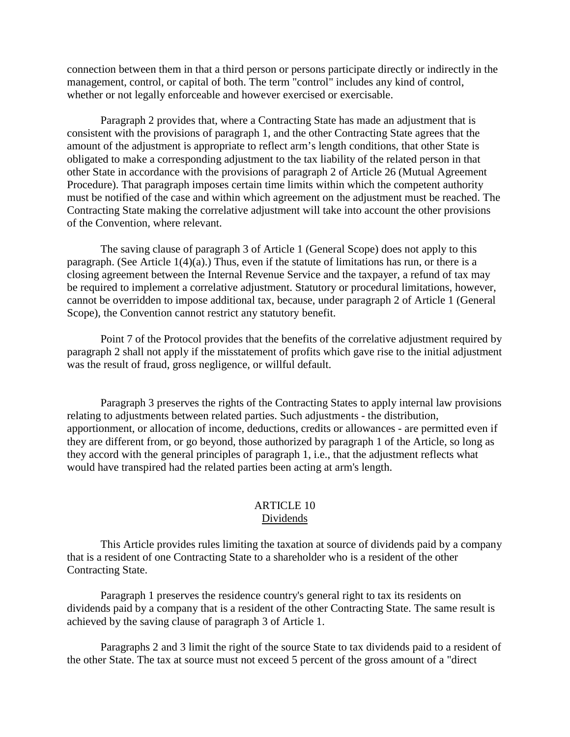connection between them in that a third person or persons participate directly or indirectly in the management, control, or capital of both. The term "control" includes any kind of control, whether or not legally enforceable and however exercised or exercisable.

Paragraph 2 provides that, where a Contracting State has made an adjustment that is consistent with the provisions of paragraph 1, and the other Contracting State agrees that the amount of the adjustment is appropriate to reflect arm's length conditions, that other State is obligated to make a corresponding adjustment to the tax liability of the related person in that other State in accordance with the provisions of paragraph 2 of Article 26 (Mutual Agreement Procedure). That paragraph imposes certain time limits within which the competent authority must be notified of the case and within which agreement on the adjustment must be reached. The Contracting State making the correlative adjustment will take into account the other provisions of the Convention, where relevant.

The saving clause of paragraph 3 of Article 1 (General Scope) does not apply to this paragraph. (See Article 1(4)(a).) Thus, even if the statute of limitations has run, or there is a closing agreement between the Internal Revenue Service and the taxpayer, a refund of tax may be required to implement a correlative adjustment. Statutory or procedural limitations, however, cannot be overridden to impose additional tax, because, under paragraph 2 of Article 1 (General Scope), the Convention cannot restrict any statutory benefit.

Point 7 of the Protocol provides that the benefits of the correlative adjustment required by paragraph 2 shall not apply if the misstatement of profits which gave rise to the initial adjustment was the result of fraud, gross negligence, or willful default.

Paragraph 3 preserves the rights of the Contracting States to apply internal law provisions relating to adjustments between related parties. Such adjustments - the distribution, apportionment, or allocation of income, deductions, credits or allowances - are permitted even if they are different from, or go beyond, those authorized by paragraph 1 of the Article, so long as they accord with the general principles of paragraph 1, i.e., that the adjustment reflects what would have transpired had the related parties been acting at arm's length.

## ARTICLE 10 Dividends

This Article provides rules limiting the taxation at source of dividends paid by a company that is a resident of one Contracting State to a shareholder who is a resident of the other Contracting State.

Paragraph 1 preserves the residence country's general right to tax its residents on dividends paid by a company that is a resident of the other Contracting State. The same result is achieved by the saving clause of paragraph 3 of Article 1.

Paragraphs 2 and 3 limit the right of the source State to tax dividends paid to a resident of the other State. The tax at source must not exceed 5 percent of the gross amount of a "direct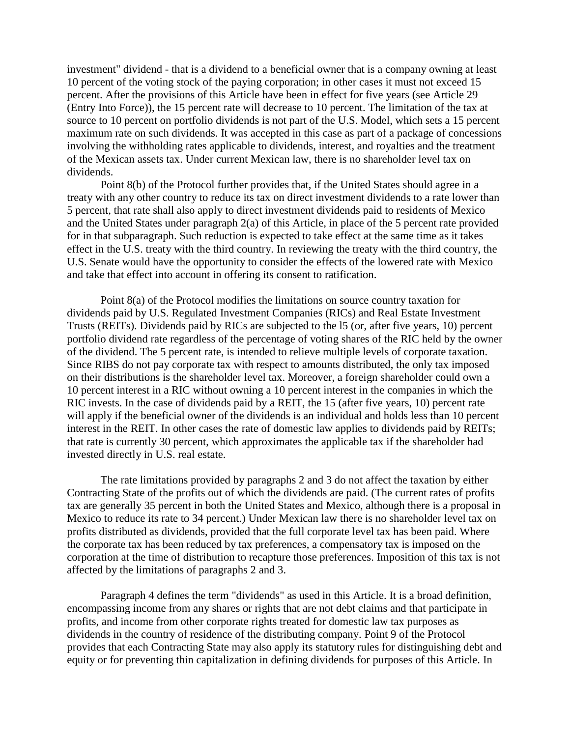investment" dividend - that is a dividend to a beneficial owner that is a company owning at least 10 percent of the voting stock of the paying corporation; in other cases it must not exceed 15 percent. After the provisions of this Article have been in effect for five years (see Article 29 (Entry Into Force)), the 15 percent rate will decrease to 10 percent. The limitation of the tax at source to 10 percent on portfolio dividends is not part of the U.S. Model, which sets a 15 percent maximum rate on such dividends. It was accepted in this case as part of a package of concessions involving the withholding rates applicable to dividends, interest, and royalties and the treatment of the Mexican assets tax. Under current Mexican law, there is no shareholder level tax on dividends.

Point 8(b) of the Protocol further provides that, if the United States should agree in a treaty with any other country to reduce its tax on direct investment dividends to a rate lower than 5 percent, that rate shall also apply to direct investment dividends paid to residents of Mexico and the United States under paragraph 2(a) of this Article, in place of the 5 percent rate provided for in that subparagraph. Such reduction is expected to take effect at the same time as it takes effect in the U.S. treaty with the third country. In reviewing the treaty with the third country, the U.S. Senate would have the opportunity to consider the effects of the lowered rate with Mexico and take that effect into account in offering its consent to ratification.

Point 8(a) of the Protocol modifies the limitations on source country taxation for dividends paid by U.S. Regulated Investment Companies (RICs) and Real Estate Investment Trusts (REITs). Dividends paid by RICs are subjected to the l5 (or, after five years, 10) percent portfolio dividend rate regardless of the percentage of voting shares of the RIC held by the owner of the dividend. The 5 percent rate, is intended to relieve multiple levels of corporate taxation. Since RIBS do not pay corporate tax with respect to amounts distributed, the only tax imposed on their distributions is the shareholder level tax. Moreover, a foreign shareholder could own a 10 percent interest in a RIC without owning a 10 percent interest in the companies in which the RIC invests. In the case of dividends paid by a REIT, the 15 (after five years, 10) percent rate will apply if the beneficial owner of the dividends is an individual and holds less than 10 percent interest in the REIT. In other cases the rate of domestic law applies to dividends paid by REITs; that rate is currently 30 percent, which approximates the applicable tax if the shareholder had invested directly in U.S. real estate.

The rate limitations provided by paragraphs 2 and 3 do not affect the taxation by either Contracting State of the profits out of which the dividends are paid. (The current rates of profits tax are generally 35 percent in both the United States and Mexico, although there is a proposal in Mexico to reduce its rate to 34 percent.) Under Mexican law there is no shareholder level tax on profits distributed as dividends, provided that the full corporate level tax has been paid. Where the corporate tax has been reduced by tax preferences, a compensatory tax is imposed on the corporation at the time of distribution to recapture those preferences. Imposition of this tax is not affected by the limitations of paragraphs 2 and 3.

Paragraph 4 defines the term "dividends" as used in this Article. It is a broad definition, encompassing income from any shares or rights that are not debt claims and that participate in profits, and income from other corporate rights treated for domestic law tax purposes as dividends in the country of residence of the distributing company. Point 9 of the Protocol provides that each Contracting State may also apply its statutory rules for distinguishing debt and equity or for preventing thin capitalization in defining dividends for purposes of this Article. In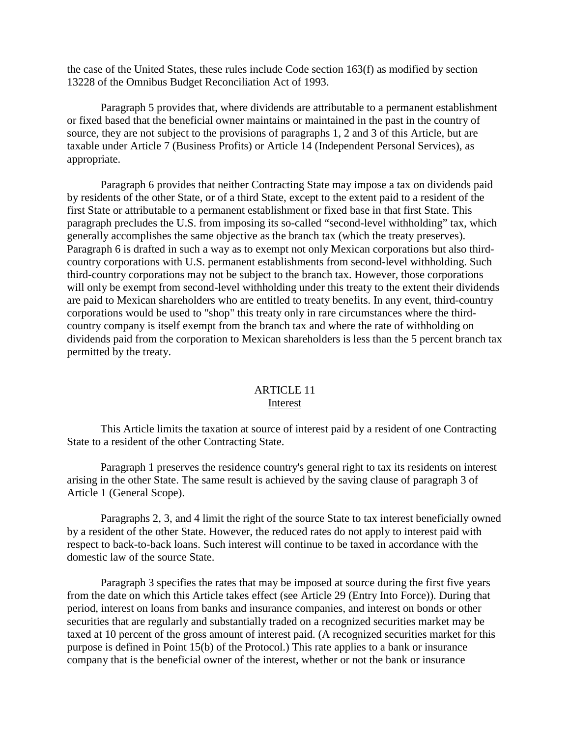the case of the United States, these rules include Code section 163(f) as modified by section 13228 of the Omnibus Budget Reconciliation Act of 1993.

Paragraph 5 provides that, where dividends are attributable to a permanent establishment or fixed based that the beneficial owner maintains or maintained in the past in the country of source, they are not subject to the provisions of paragraphs 1, 2 and 3 of this Article, but are taxable under Article 7 (Business Profits) or Article 14 (Independent Personal Services), as appropriate.

Paragraph 6 provides that neither Contracting State may impose a tax on dividends paid by residents of the other State, or of a third State, except to the extent paid to a resident of the first State or attributable to a permanent establishment or fixed base in that first State. This paragraph precludes the U.S. from imposing its so-called "second-level withholding" tax, which generally accomplishes the same objective as the branch tax (which the treaty preserves). Paragraph 6 is drafted in such a way as to exempt not only Mexican corporations but also thirdcountry corporations with U.S. permanent establishments from second-level withholding. Such third-country corporations may not be subject to the branch tax. However, those corporations will only be exempt from second-level withholding under this treaty to the extent their dividends are paid to Mexican shareholders who are entitled to treaty benefits. In any event, third-country corporations would be used to "shop" this treaty only in rare circumstances where the thirdcountry company is itself exempt from the branch tax and where the rate of withholding on dividends paid from the corporation to Mexican shareholders is less than the 5 percent branch tax permitted by the treaty.

## ARTICLE 11 Interest

This Article limits the taxation at source of interest paid by a resident of one Contracting State to a resident of the other Contracting State.

Paragraph 1 preserves the residence country's general right to tax its residents on interest arising in the other State. The same result is achieved by the saving clause of paragraph 3 of Article 1 (General Scope).

Paragraphs 2, 3, and 4 limit the right of the source State to tax interest beneficially owned by a resident of the other State. However, the reduced rates do not apply to interest paid with respect to back-to-back loans. Such interest will continue to be taxed in accordance with the domestic law of the source State.

Paragraph 3 specifies the rates that may be imposed at source during the first five years from the date on which this Article takes effect (see Article 29 (Entry Into Force)). During that period, interest on loans from banks and insurance companies, and interest on bonds or other securities that are regularly and substantially traded on a recognized securities market may be taxed at 10 percent of the gross amount of interest paid. (A recognized securities market for this purpose is defined in Point 15(b) of the Protocol.) This rate applies to a bank or insurance company that is the beneficial owner of the interest, whether or not the bank or insurance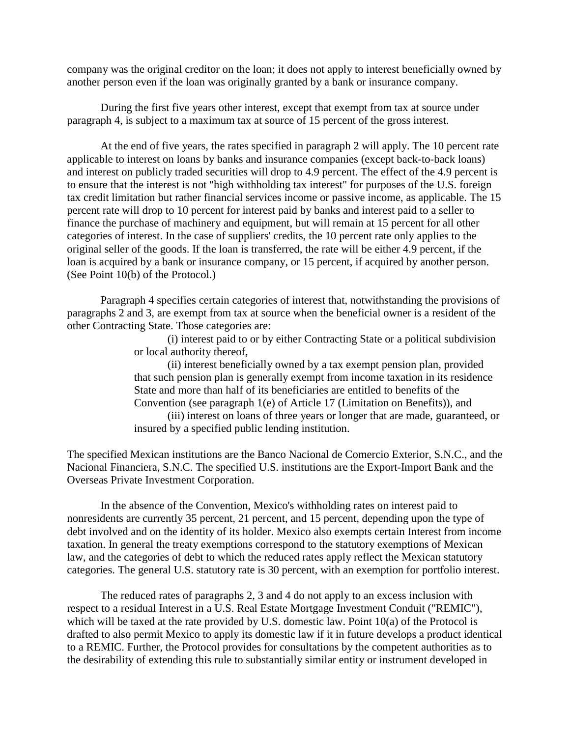company was the original creditor on the loan; it does not apply to interest beneficially owned by another person even if the loan was originally granted by a bank or insurance company.

During the first five years other interest, except that exempt from tax at source under paragraph 4, is subject to a maximum tax at source of 15 percent of the gross interest.

At the end of five years, the rates specified in paragraph 2 will apply. The 10 percent rate applicable to interest on loans by banks and insurance companies (except back-to-back loans) and interest on publicly traded securities will drop to 4.9 percent. The effect of the 4.9 percent is to ensure that the interest is not "high withholding tax interest" for purposes of the U.S. foreign tax credit limitation but rather financial services income or passive income, as applicable. The 15 percent rate will drop to 10 percent for interest paid by banks and interest paid to a seller to finance the purchase of machinery and equipment, but will remain at 15 percent for all other categories of interest. In the case of suppliers' credits, the 10 percent rate only applies to the original seller of the goods. If the loan is transferred, the rate will be either 4.9 percent, if the loan is acquired by a bank or insurance company, or 15 percent, if acquired by another person. (See Point 10(b) of the Protocol.)

Paragraph 4 specifies certain categories of interest that, notwithstanding the provisions of paragraphs 2 and 3, are exempt from tax at source when the beneficial owner is a resident of the other Contracting State. Those categories are:

> (i) interest paid to or by either Contracting State or a political subdivision or local authority thereof,

> (ii) interest beneficially owned by a tax exempt pension plan, provided that such pension plan is generally exempt from income taxation in its residence State and more than half of its beneficiaries are entitled to benefits of the Convention (see paragraph 1(e) of Article 17 (Limitation on Benefits)), and (iii) interest on loans of three years or longer that are made, guaranteed, or insured by a specified public lending institution.

The specified Mexican institutions are the Banco Nacional de Comercio Exterior, S.N.C., and the Nacional Financiera, S.N.C. The specified U.S. institutions are the Export-Import Bank and the Overseas Private Investment Corporation.

In the absence of the Convention, Mexico's withholding rates on interest paid to nonresidents are currently 35 percent, 21 percent, and 15 percent, depending upon the type of debt involved and on the identity of its holder. Mexico also exempts certain Interest from income taxation. In general the treaty exemptions correspond to the statutory exemptions of Mexican law, and the categories of debt to which the reduced rates apply reflect the Mexican statutory categories. The general U.S. statutory rate is 30 percent, with an exemption for portfolio interest.

The reduced rates of paragraphs 2, 3 and 4 do not apply to an excess inclusion with respect to a residual Interest in a U.S. Real Estate Mortgage Investment Conduit ("REMIC"), which will be taxed at the rate provided by U.S. domestic law. Point 10(a) of the Protocol is drafted to also permit Mexico to apply its domestic law if it in future develops a product identical to a REMIC. Further, the Protocol provides for consultations by the competent authorities as to the desirability of extending this rule to substantially similar entity or instrument developed in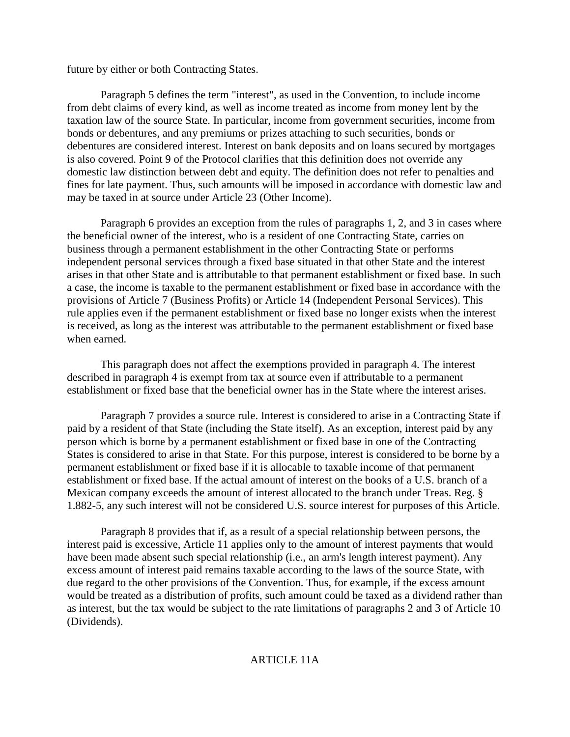future by either or both Contracting States.

Paragraph 5 defines the term "interest", as used in the Convention, to include income from debt claims of every kind, as well as income treated as income from money lent by the taxation law of the source State. In particular, income from government securities, income from bonds or debentures, and any premiums or prizes attaching to such securities, bonds or debentures are considered interest. Interest on bank deposits and on loans secured by mortgages is also covered. Point 9 of the Protocol clarifies that this definition does not override any domestic law distinction between debt and equity. The definition does not refer to penalties and fines for late payment. Thus, such amounts will be imposed in accordance with domestic law and may be taxed in at source under Article 23 (Other Income).

Paragraph 6 provides an exception from the rules of paragraphs 1, 2, and 3 in cases where the beneficial owner of the interest, who is a resident of one Contracting State, carries on business through a permanent establishment in the other Contracting State or performs independent personal services through a fixed base situated in that other State and the interest arises in that other State and is attributable to that permanent establishment or fixed base. In such a case, the income is taxable to the permanent establishment or fixed base in accordance with the provisions of Article 7 (Business Profits) or Article 14 (Independent Personal Services). This rule applies even if the permanent establishment or fixed base no longer exists when the interest is received, as long as the interest was attributable to the permanent establishment or fixed base when earned.

This paragraph does not affect the exemptions provided in paragraph 4. The interest described in paragraph 4 is exempt from tax at source even if attributable to a permanent establishment or fixed base that the beneficial owner has in the State where the interest arises.

Paragraph 7 provides a source rule. Interest is considered to arise in a Contracting State if paid by a resident of that State (including the State itself). As an exception, interest paid by any person which is borne by a permanent establishment or fixed base in one of the Contracting States is considered to arise in that State. For this purpose, interest is considered to be borne by a permanent establishment or fixed base if it is allocable to taxable income of that permanent establishment or fixed base. If the actual amount of interest on the books of a U.S. branch of a Mexican company exceeds the amount of interest allocated to the branch under Treas. Reg. § 1.882-5, any such interest will not be considered U.S. source interest for purposes of this Article.

Paragraph 8 provides that if, as a result of a special relationship between persons, the interest paid is excessive, Article 11 applies only to the amount of interest payments that would have been made absent such special relationship (i.e., an arm's length interest payment). Any excess amount of interest paid remains taxable according to the laws of the source State, with due regard to the other provisions of the Convention. Thus, for example, if the excess amount would be treated as a distribution of profits, such amount could be taxed as a dividend rather than as interest, but the tax would be subject to the rate limitations of paragraphs 2 and 3 of Article 10 (Dividends).

## ARTICLE 11A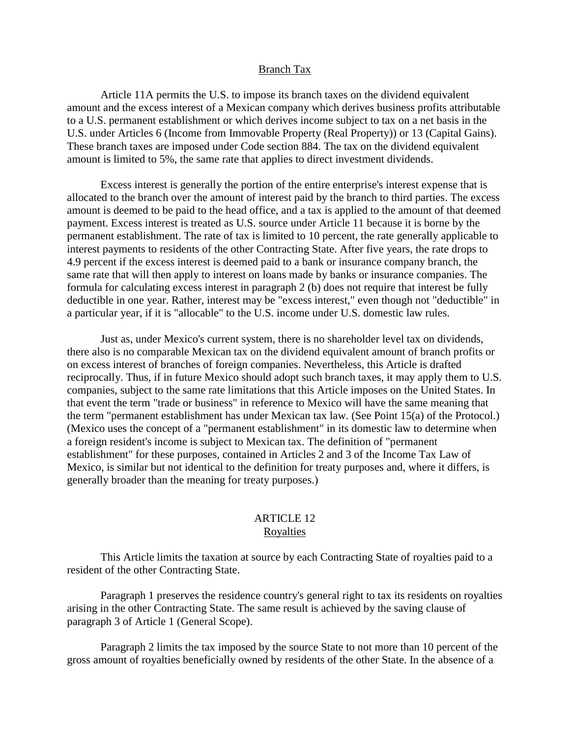#### Branch Tax

Article 11A permits the U.S. to impose its branch taxes on the dividend equivalent amount and the excess interest of a Mexican company which derives business profits attributable to a U.S. permanent establishment or which derives income subject to tax on a net basis in the U.S. under Articles 6 (Income from Immovable Property (Real Property)) or 13 (Capital Gains). These branch taxes are imposed under Code section 884. The tax on the dividend equivalent amount is limited to 5%, the same rate that applies to direct investment dividends.

Excess interest is generally the portion of the entire enterprise's interest expense that is allocated to the branch over the amount of interest paid by the branch to third parties. The excess amount is deemed to be paid to the head office, and a tax is applied to the amount of that deemed payment. Excess interest is treated as U.S. source under Article 11 because it is borne by the permanent establishment. The rate of tax is limited to 10 percent, the rate generally applicable to interest payments to residents of the other Contracting State. After five years, the rate drops to 4.9 percent if the excess interest is deemed paid to a bank or insurance company branch, the same rate that will then apply to interest on loans made by banks or insurance companies. The formula for calculating excess interest in paragraph 2 (b) does not require that interest be fully deductible in one year. Rather, interest may be "excess interest," even though not "deductible" in a particular year, if it is "allocable" to the U.S. income under U.S. domestic law rules.

Just as, under Mexico's current system, there is no shareholder level tax on dividends, there also is no comparable Mexican tax on the dividend equivalent amount of branch profits or on excess interest of branches of foreign companies. Nevertheless, this Article is drafted reciprocally. Thus, if in future Mexico should adopt such branch taxes, it may apply them to U.S. companies, subject to the same rate limitations that this Article imposes on the United States. In that event the term "trade or business" in reference to Mexico will have the same meaning that the term "permanent establishment has under Mexican tax law. (See Point 15(a) of the Protocol.) (Mexico uses the concept of a "permanent establishment" in its domestic law to determine when a foreign resident's income is subject to Mexican tax. The definition of "permanent establishment" for these purposes, contained in Articles 2 and 3 of the Income Tax Law of Mexico, is similar but not identical to the definition for treaty purposes and, where it differs, is generally broader than the meaning for treaty purposes.)

## ARTICLE 12 **Royalties**

This Article limits the taxation at source by each Contracting State of royalties paid to a resident of the other Contracting State.

Paragraph 1 preserves the residence country's general right to tax its residents on royalties arising in the other Contracting State. The same result is achieved by the saving clause of paragraph 3 of Article 1 (General Scope).

Paragraph 2 limits the tax imposed by the source State to not more than 10 percent of the gross amount of royalties beneficially owned by residents of the other State. In the absence of a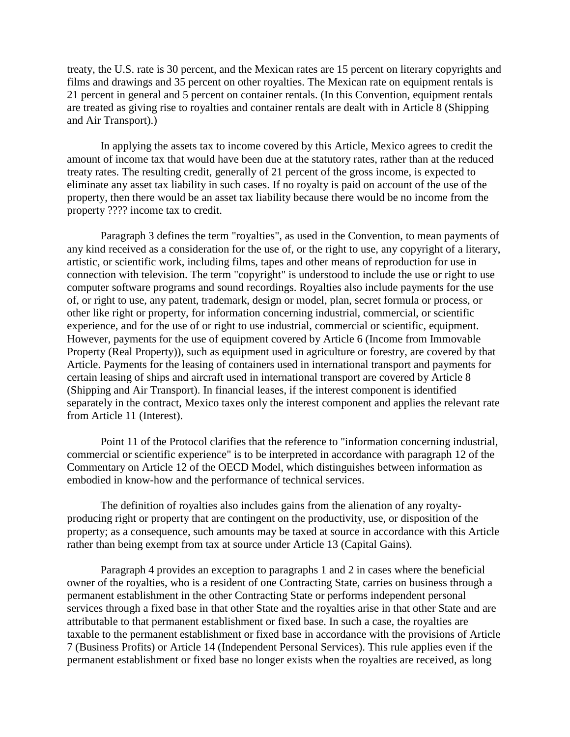treaty, the U.S. rate is 30 percent, and the Mexican rates are 15 percent on literary copyrights and films and drawings and 35 percent on other royalties. The Mexican rate on equipment rentals is 21 percent in general and 5 percent on container rentals. (In this Convention, equipment rentals are treated as giving rise to royalties and container rentals are dealt with in Article 8 (Shipping and Air Transport).)

In applying the assets tax to income covered by this Article, Mexico agrees to credit the amount of income tax that would have been due at the statutory rates, rather than at the reduced treaty rates. The resulting credit, generally of 21 percent of the gross income, is expected to eliminate any asset tax liability in such cases. If no royalty is paid on account of the use of the property, then there would be an asset tax liability because there would be no income from the property ???? income tax to credit.

Paragraph 3 defines the term "royalties", as used in the Convention, to mean payments of any kind received as a consideration for the use of, or the right to use, any copyright of a literary, artistic, or scientific work, including films, tapes and other means of reproduction for use in connection with television. The term "copyright" is understood to include the use or right to use computer software programs and sound recordings. Royalties also include payments for the use of, or right to use, any patent, trademark, design or model, plan, secret formula or process, or other like right or property, for information concerning industrial, commercial, or scientific experience, and for the use of or right to use industrial, commercial or scientific, equipment. However, payments for the use of equipment covered by Article 6 (Income from Immovable Property (Real Property)), such as equipment used in agriculture or forestry, are covered by that Article. Payments for the leasing of containers used in international transport and payments for certain leasing of ships and aircraft used in international transport are covered by Article 8 (Shipping and Air Transport). In financial leases, if the interest component is identified separately in the contract, Mexico taxes only the interest component and applies the relevant rate from Article 11 (Interest).

Point 11 of the Protocol clarifies that the reference to "information concerning industrial, commercial or scientific experience" is to be interpreted in accordance with paragraph 12 of the Commentary on Article 12 of the OECD Model, which distinguishes between information as embodied in know-how and the performance of technical services.

The definition of royalties also includes gains from the alienation of any royaltyproducing right or property that are contingent on the productivity, use, or disposition of the property; as a consequence, such amounts may be taxed at source in accordance with this Article rather than being exempt from tax at source under Article 13 (Capital Gains).

Paragraph 4 provides an exception to paragraphs 1 and 2 in cases where the beneficial owner of the royalties, who is a resident of one Contracting State, carries on business through a permanent establishment in the other Contracting State or performs independent personal services through a fixed base in that other State and the royalties arise in that other State and are attributable to that permanent establishment or fixed base. In such a case, the royalties are taxable to the permanent establishment or fixed base in accordance with the provisions of Article 7 (Business Profits) or Article 14 (Independent Personal Services). This rule applies even if the permanent establishment or fixed base no longer exists when the royalties are received, as long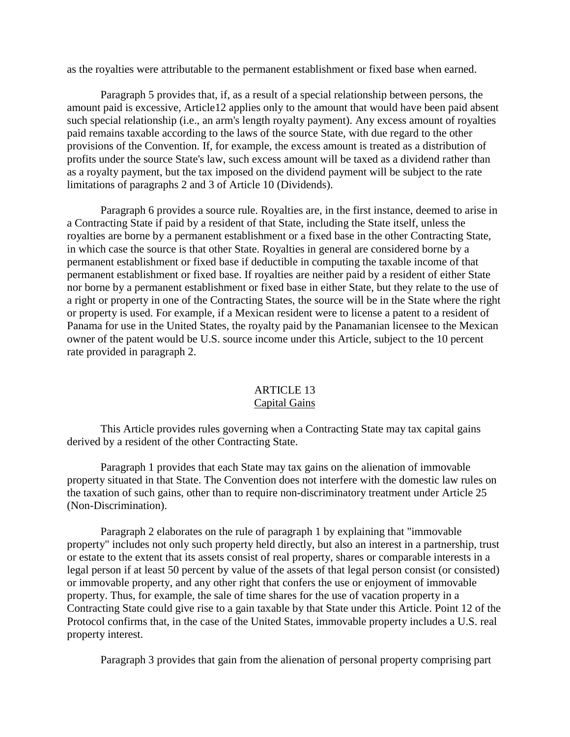as the royalties were attributable to the permanent establishment or fixed base when earned.

Paragraph 5 provides that, if, as a result of a special relationship between persons, the amount paid is excessive, Article12 applies only to the amount that would have been paid absent such special relationship (i.e., an arm's length royalty payment). Any excess amount of royalties paid remains taxable according to the laws of the source State, with due regard to the other provisions of the Convention. If, for example, the excess amount is treated as a distribution of profits under the source State's law, such excess amount will be taxed as a dividend rather than as a royalty payment, but the tax imposed on the dividend payment will be subject to the rate limitations of paragraphs 2 and 3 of Article 10 (Dividends).

Paragraph 6 provides a source rule. Royalties are, in the first instance, deemed to arise in a Contracting State if paid by a resident of that State, including the State itself, unless the royalties are borne by a permanent establishment or a fixed base in the other Contracting State, in which case the source is that other State. Royalties in general are considered borne by a permanent establishment or fixed base if deductible in computing the taxable income of that permanent establishment or fixed base. If royalties are neither paid by a resident of either State nor borne by a permanent establishment or fixed base in either State, but they relate to the use of a right or property in one of the Contracting States, the source will be in the State where the right or property is used. For example, if a Mexican resident were to license a patent to a resident of Panama for use in the United States, the royalty paid by the Panamanian licensee to the Mexican owner of the patent would be U.S. source income under this Article, subject to the 10 percent rate provided in paragraph 2.

## ARTICLE 13 Capital Gains

This Article provides rules governing when a Contracting State may tax capital gains derived by a resident of the other Contracting State.

Paragraph 1 provides that each State may tax gains on the alienation of immovable property situated in that State. The Convention does not interfere with the domestic law rules on the taxation of such gains, other than to require non-discriminatory treatment under Article 25 (Non-Discrimination).

Paragraph 2 elaborates on the rule of paragraph 1 by explaining that "immovable property" includes not only such property held directly, but also an interest in a partnership, trust or estate to the extent that its assets consist of real property, shares or comparable interests in a legal person if at least 50 percent by value of the assets of that legal person consist (or consisted) or immovable property, and any other right that confers the use or enjoyment of immovable property. Thus, for example, the sale of time shares for the use of vacation property in a Contracting State could give rise to a gain taxable by that State under this Article. Point 12 of the Protocol confirms that, in the case of the United States, immovable property includes a U.S. real property interest.

Paragraph 3 provides that gain from the alienation of personal property comprising part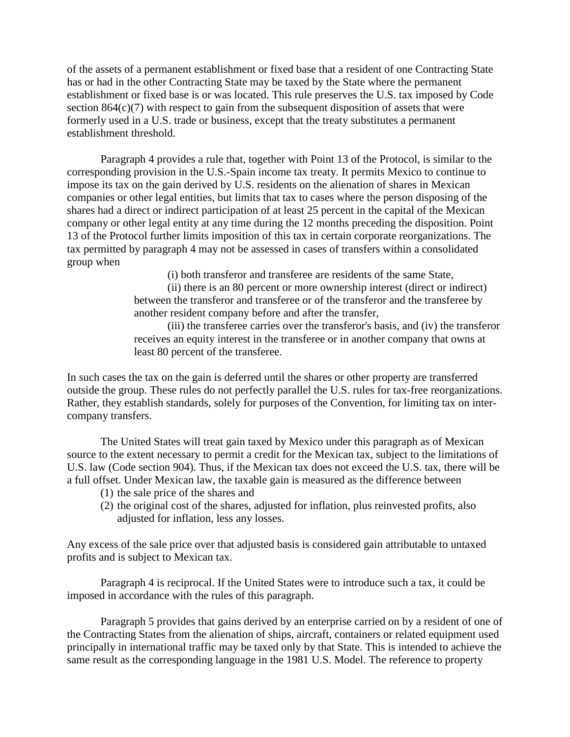of the assets of a permanent establishment or fixed base that a resident of one Contracting State has or had in the other Contracting State may be taxed by the State where the permanent establishment or fixed base is or was located. This rule preserves the U.S. tax imposed by Code section 864(c)(7) with respect to gain from the subsequent disposition of assets that were formerly used in a U.S. trade or business, except that the treaty substitutes a permanent establishment threshold.

Paragraph 4 provides a rule that, together with Point 13 of the Protocol, is similar to the corresponding provision in the U.S.-Spain income tax treaty. It permits Mexico to continue to impose its tax on the gain derived by U.S. residents on the alienation of shares in Mexican companies or other legal entities, but limits that tax to cases where the person disposing of the shares had a direct or indirect participation of at least 25 percent in the capital of the Mexican company or other legal entity at any time during the 12 months preceding the disposition. Point 13 of the Protocol further limits imposition of this tax in certain corporate reorganizations. The tax permitted by paragraph 4 may not be assessed in cases of transfers within a consolidated group when

(i) both transferor and transferee are residents of the same State,

(ii) there is an 80 percent or more ownership interest (direct or indirect) between the transferor and transferee or of the transferor and the transferee by another resident company before and after the transfer,

(iii) the transferee carries over the transferor's basis, and (iv) the transferor receives an equity interest in the transferee or in another company that owns at least 80 percent of the transferee.

In such cases the tax on the gain is deferred until the shares or other property are transferred outside the group. These rules do not perfectly parallel the U.S. rules for tax-free reorganizations. Rather, they establish standards, solely for purposes of the Convention, for limiting tax on intercompany transfers.

The United States will treat gain taxed by Mexico under this paragraph as of Mexican source to the extent necessary to permit a credit for the Mexican tax, subject to the limitations of U.S. law (Code section 904). Thus, if the Mexican tax does not exceed the U.S. tax, there will be a full offset. Under Mexican law, the taxable gain is measured as the difference between

- (1) the sale price of the shares and
- (2) the original cost of the shares, adjusted for inflation, plus reinvested profits, also adjusted for inflation, less any losses.

Any excess of the sale price over that adjusted basis is considered gain attributable to untaxed profits and is subject to Mexican tax.

Paragraph 4 is reciprocal. If the United States were to introduce such a tax, it could be imposed in accordance with the rules of this paragraph.

Paragraph 5 provides that gains derived by an enterprise carried on by a resident of one of the Contracting States from the alienation of ships, aircraft, containers or related equipment used principally in international traffic may be taxed only by that State. This is intended to achieve the same result as the corresponding language in the 1981 U.S. Model. The reference to property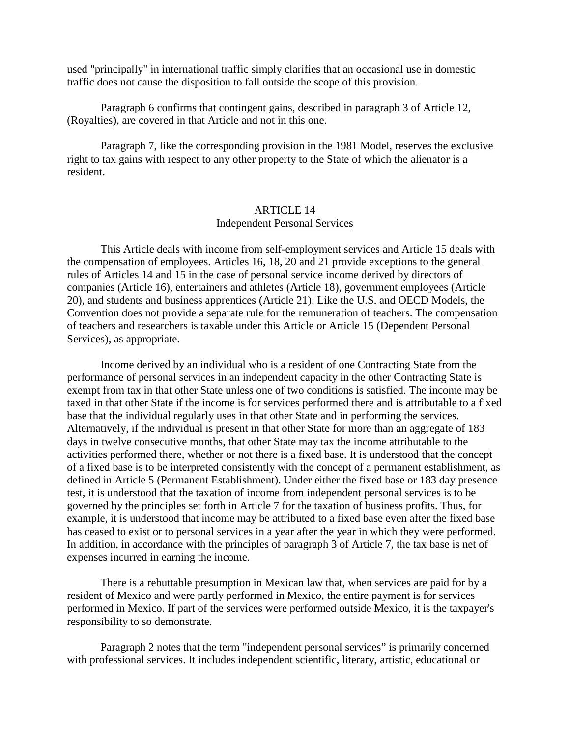used "principally" in international traffic simply clarifies that an occasional use in domestic traffic does not cause the disposition to fall outside the scope of this provision.

Paragraph 6 confirms that contingent gains, described in paragraph 3 of Article 12, (Royalties), are covered in that Article and not in this one.

Paragraph 7, like the corresponding provision in the 1981 Model, reserves the exclusive right to tax gains with respect to any other property to the State of which the alienator is a resident.

#### ARTICLE 14 Independent Personal Services

This Article deals with income from self-employment services and Article 15 deals with the compensation of employees. Articles 16, 18, 20 and 21 provide exceptions to the general rules of Articles 14 and 15 in the case of personal service income derived by directors of companies (Article 16), entertainers and athletes (Article 18), government employees (Article 20), and students and business apprentices (Article 21). Like the U.S. and OECD Models, the Convention does not provide a separate rule for the remuneration of teachers. The compensation of teachers and researchers is taxable under this Article or Article 15 (Dependent Personal Services), as appropriate.

Income derived by an individual who is a resident of one Contracting State from the performance of personal services in an independent capacity in the other Contracting State is exempt from tax in that other State unless one of two conditions is satisfied. The income may be taxed in that other State if the income is for services performed there and is attributable to a fixed base that the individual regularly uses in that other State and in performing the services. Alternatively, if the individual is present in that other State for more than an aggregate of 183 days in twelve consecutive months, that other State may tax the income attributable to the activities performed there, whether or not there is a fixed base. It is understood that the concept of a fixed base is to be interpreted consistently with the concept of a permanent establishment, as defined in Article 5 (Permanent Establishment). Under either the fixed base or 183 day presence test, it is understood that the taxation of income from independent personal services is to be governed by the principles set forth in Article 7 for the taxation of business profits. Thus, for example, it is understood that income may be attributed to a fixed base even after the fixed base has ceased to exist or to personal services in a year after the year in which they were performed. In addition, in accordance with the principles of paragraph 3 of Article 7, the tax base is net of expenses incurred in earning the income.

There is a rebuttable presumption in Mexican law that, when services are paid for by a resident of Mexico and were partly performed in Mexico, the entire payment is for services performed in Mexico. If part of the services were performed outside Mexico, it is the taxpayer's responsibility to so demonstrate.

Paragraph 2 notes that the term "independent personal services" is primarily concerned with professional services. It includes independent scientific, literary, artistic, educational or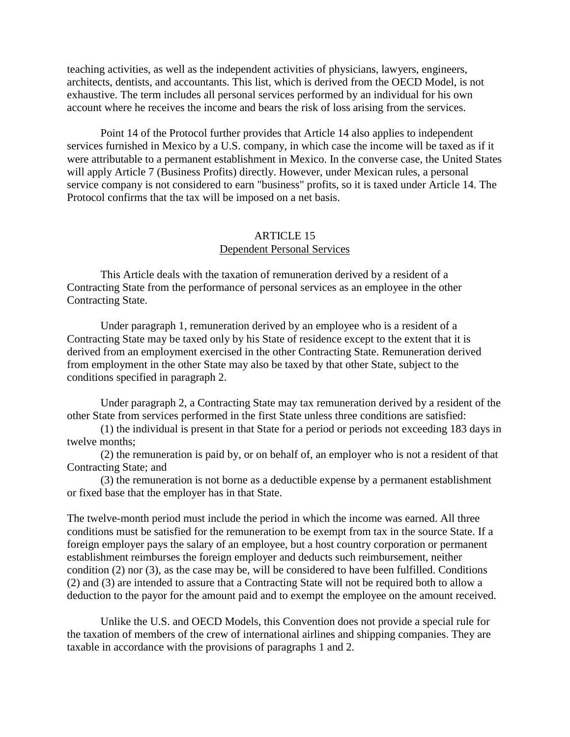teaching activities, as well as the independent activities of physicians, lawyers, engineers, architects, dentists, and accountants. This list, which is derived from the OECD Model, is not exhaustive. The term includes all personal services performed by an individual for his own account where he receives the income and bears the risk of loss arising from the services.

Point 14 of the Protocol further provides that Article 14 also applies to independent services furnished in Mexico by a U.S. company, in which case the income will be taxed as if it were attributable to a permanent establishment in Mexico. In the converse case, the United States will apply Article 7 (Business Profits) directly. However, under Mexican rules, a personal service company is not considered to earn "business" profits, so it is taxed under Article 14. The Protocol confirms that the tax will be imposed on a net basis.

## ARTICLE 15 Dependent Personal Services

This Article deals with the taxation of remuneration derived by a resident of a Contracting State from the performance of personal services as an employee in the other Contracting State.

Under paragraph 1, remuneration derived by an employee who is a resident of a Contracting State may be taxed only by his State of residence except to the extent that it is derived from an employment exercised in the other Contracting State. Remuneration derived from employment in the other State may also be taxed by that other State, subject to the conditions specified in paragraph 2.

Under paragraph 2, a Contracting State may tax remuneration derived by a resident of the other State from services performed in the first State unless three conditions are satisfied:

(1) the individual is present in that State for a period or periods not exceeding 183 days in twelve months;

(2) the remuneration is paid by, or on behalf of, an employer who is not a resident of that Contracting State; and

(3) the remuneration is not borne as a deductible expense by a permanent establishment or fixed base that the employer has in that State.

The twelve-month period must include the period in which the income was earned. All three conditions must be satisfied for the remuneration to be exempt from tax in the source State. If a foreign employer pays the salary of an employee, but a host country corporation or permanent establishment reimburses the foreign employer and deducts such reimbursement, neither condition (2) nor (3), as the case may be, will be considered to have been fulfilled. Conditions (2) and (3) are intended to assure that a Contracting State will not be required both to allow a deduction to the payor for the amount paid and to exempt the employee on the amount received.

Unlike the U.S. and OECD Models, this Convention does not provide a special rule for the taxation of members of the crew of international airlines and shipping companies. They are taxable in accordance with the provisions of paragraphs 1 and 2.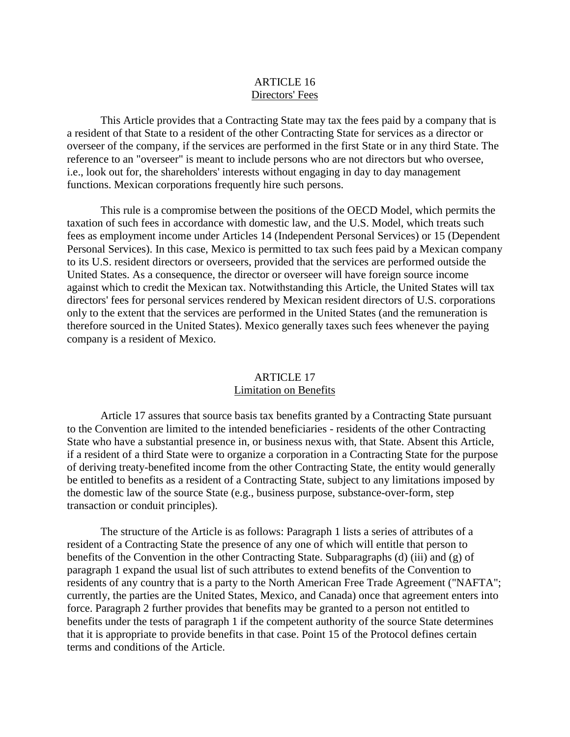## ARTICLE 16 Directors' Fees

This Article provides that a Contracting State may tax the fees paid by a company that is a resident of that State to a resident of the other Contracting State for services as a director or overseer of the company, if the services are performed in the first State or in any third State. The reference to an "overseer" is meant to include persons who are not directors but who oversee, i.e., look out for, the shareholders' interests without engaging in day to day management functions. Mexican corporations frequently hire such persons.

This rule is a compromise between the positions of the OECD Model, which permits the taxation of such fees in accordance with domestic law, and the U.S. Model, which treats such fees as employment income under Articles 14 (Independent Personal Services) or 15 (Dependent Personal Services). In this case, Mexico is permitted to tax such fees paid by a Mexican company to its U.S. resident directors or overseers, provided that the services are performed outside the United States. As a consequence, the director or overseer will have foreign source income against which to credit the Mexican tax. Notwithstanding this Article, the United States will tax directors' fees for personal services rendered by Mexican resident directors of U.S. corporations only to the extent that the services are performed in the United States (and the remuneration is therefore sourced in the United States). Mexico generally taxes such fees whenever the paying company is a resident of Mexico.

#### ARTICLE 17 Limitation on Benefits

Article 17 assures that source basis tax benefits granted by a Contracting State pursuant to the Convention are limited to the intended beneficiaries - residents of the other Contracting State who have a substantial presence in, or business nexus with, that State. Absent this Article, if a resident of a third State were to organize a corporation in a Contracting State for the purpose of deriving treaty-benefited income from the other Contracting State, the entity would generally be entitled to benefits as a resident of a Contracting State, subject to any limitations imposed by the domestic law of the source State (e.g., business purpose, substance-over-form, step transaction or conduit principles).

The structure of the Article is as follows: Paragraph 1 lists a series of attributes of a resident of a Contracting State the presence of any one of which will entitle that person to benefits of the Convention in the other Contracting State. Subparagraphs (d) (iii) and (g) of paragraph 1 expand the usual list of such attributes to extend benefits of the Convention to residents of any country that is a party to the North American Free Trade Agreement ("NAFTA"; currently, the parties are the United States, Mexico, and Canada) once that agreement enters into force. Paragraph 2 further provides that benefits may be granted to a person not entitled to benefits under the tests of paragraph 1 if the competent authority of the source State determines that it is appropriate to provide benefits in that case. Point 15 of the Protocol defines certain terms and conditions of the Article.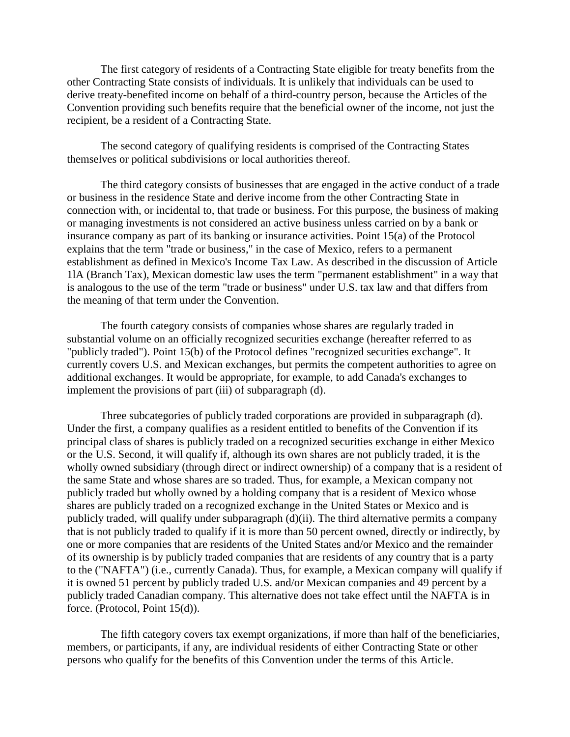The first category of residents of a Contracting State eligible for treaty benefits from the other Contracting State consists of individuals. It is unlikely that individuals can be used to derive treaty-benefited income on behalf of a third-country person, because the Articles of the Convention providing such benefits require that the beneficial owner of the income, not just the recipient, be a resident of a Contracting State.

The second category of qualifying residents is comprised of the Contracting States themselves or political subdivisions or local authorities thereof.

The third category consists of businesses that are engaged in the active conduct of a trade or business in the residence State and derive income from the other Contracting State in connection with, or incidental to, that trade or business. For this purpose, the business of making or managing investments is not considered an active business unless carried on by a bank or insurance company as part of its banking or insurance activities. Point 15(a) of the Protocol explains that the term "trade or business," in the case of Mexico, refers to a permanent establishment as defined in Mexico's Income Tax Law. As described in the discussion of Article 1lA (Branch Tax), Mexican domestic law uses the term "permanent establishment" in a way that is analogous to the use of the term "trade or business" under U.S. tax law and that differs from the meaning of that term under the Convention.

The fourth category consists of companies whose shares are regularly traded in substantial volume on an officially recognized securities exchange (hereafter referred to as "publicly traded"). Point 15(b) of the Protocol defines "recognized securities exchange". It currently covers U.S. and Mexican exchanges, but permits the competent authorities to agree on additional exchanges. It would be appropriate, for example, to add Canada's exchanges to implement the provisions of part (iii) of subparagraph (d).

Three subcategories of publicly traded corporations are provided in subparagraph (d). Under the first, a company qualifies as a resident entitled to benefits of the Convention if its principal class of shares is publicly traded on a recognized securities exchange in either Mexico or the U.S. Second, it will qualify if, although its own shares are not publicly traded, it is the wholly owned subsidiary (through direct or indirect ownership) of a company that is a resident of the same State and whose shares are so traded. Thus, for example, a Mexican company not publicly traded but wholly owned by a holding company that is a resident of Mexico whose shares are publicly traded on a recognized exchange in the United States or Mexico and is publicly traded, will qualify under subparagraph (d)(ii). The third alternative permits a company that is not publicly traded to qualify if it is more than 50 percent owned, directly or indirectly, by one or more companies that are residents of the United States and/or Mexico and the remainder of its ownership is by publicly traded companies that are residents of any country that is a party to the ("NAFTA") (i.e., currently Canada). Thus, for example, a Mexican company will qualify if it is owned 51 percent by publicly traded U.S. and/or Mexican companies and 49 percent by a publicly traded Canadian company. This alternative does not take effect until the NAFTA is in force. (Protocol, Point 15(d)).

The fifth category covers tax exempt organizations, if more than half of the beneficiaries, members, or participants, if any, are individual residents of either Contracting State or other persons who qualify for the benefits of this Convention under the terms of this Article.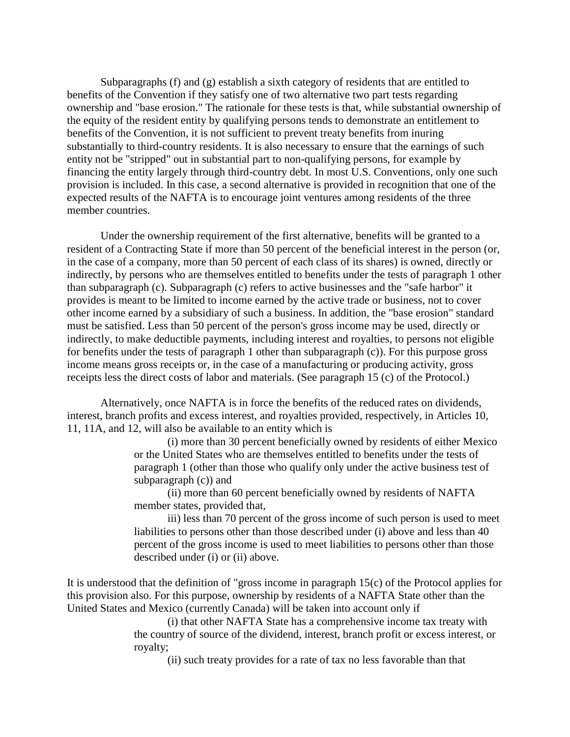Subparagraphs (f) and (g) establish a sixth category of residents that are entitled to benefits of the Convention if they satisfy one of two alternative two part tests regarding ownership and "base erosion." The rationale for these tests is that, while substantial ownership of the equity of the resident entity by qualifying persons tends to demonstrate an entitlement to benefits of the Convention, it is not sufficient to prevent treaty benefits from inuring substantially to third-country residents. It is also necessary to ensure that the earnings of such entity not be "stripped" out in substantial part to non-qualifying persons, for example by financing the entity largely through third-country debt. In most U.S. Conventions, only one such provision is included. In this case, a second alternative is provided in recognition that one of the expected results of the NAFTA is to encourage joint ventures among residents of the three member countries.

Under the ownership requirement of the first alternative, benefits will be granted to a resident of a Contracting State if more than 50 percent of the beneficial interest in the person (or, in the case of a company, more than 50 percent of each class of its shares) is owned, directly or indirectly, by persons who are themselves entitled to benefits under the tests of paragraph 1 other than subparagraph (c). Subparagraph (c) refers to active businesses and the "safe harbor" it provides is meant to be limited to income earned by the active trade or business, not to cover other income earned by a subsidiary of such a business. In addition, the "base erosion" standard must be satisfied. Less than 50 percent of the person's gross income may be used, directly or indirectly, to make deductible payments, including interest and royalties, to persons not eligible for benefits under the tests of paragraph 1 other than subparagraph (c)). For this purpose gross income means gross receipts or, in the case of a manufacturing or producing activity, gross receipts less the direct costs of labor and materials. (See paragraph 15 (c) of the Protocol.)

Alternatively, once NAFTA is in force the benefits of the reduced rates on dividends, interest, branch profits and excess interest, and royalties provided, respectively, in Articles 10, 11, 11A, and 12, will also be available to an entity which is

> (i) more than 30 percent beneficially owned by residents of either Mexico or the United States who are themselves entitled to benefits under the tests of paragraph 1 (other than those who qualify only under the active business test of subparagraph (c)) and

(ii) more than 60 percent beneficially owned by residents of NAFTA member states, provided that,

iii) less than 70 percent of the gross income of such person is used to meet liabilities to persons other than those described under (i) above and less than 40 percent of the gross income is used to meet liabilities to persons other than those described under (i) or (ii) above.

It is understood that the definition of "gross income in paragraph 15(c) of the Protocol applies for this provision also. For this purpose, ownership by residents of a NAFTA State other than the United States and Mexico (currently Canada) will be taken into account only if

> (i) that other NAFTA State has a comprehensive income tax treaty with the country of source of the dividend, interest, branch profit or excess interest, or royalty;

(ii) such treaty provides for a rate of tax no less favorable than that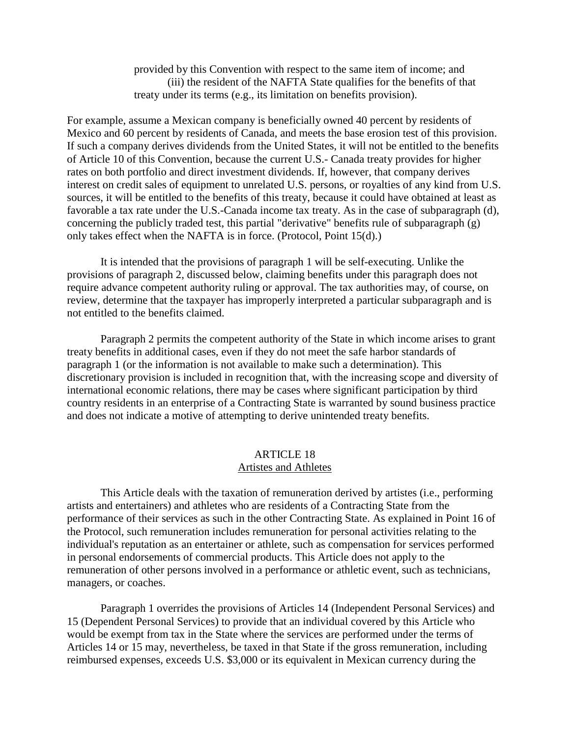provided by this Convention with respect to the same item of income; and (iii) the resident of the NAFTA State qualifies for the benefits of that treaty under its terms (e.g., its limitation on benefits provision).

For example, assume a Mexican company is beneficially owned 40 percent by residents of Mexico and 60 percent by residents of Canada, and meets the base erosion test of this provision. If such a company derives dividends from the United States, it will not be entitled to the benefits of Article 10 of this Convention, because the current U.S.- Canada treaty provides for higher rates on both portfolio and direct investment dividends. If, however, that company derives interest on credit sales of equipment to unrelated U.S. persons, or royalties of any kind from U.S. sources, it will be entitled to the benefits of this treaty, because it could have obtained at least as favorable a tax rate under the U.S.-Canada income tax treaty. As in the case of subparagraph (d), concerning the publicly traded test, this partial "derivative" benefits rule of subparagraph (g) only takes effect when the NAFTA is in force. (Protocol, Point 15(d).)

It is intended that the provisions of paragraph 1 will be self-executing. Unlike the provisions of paragraph 2, discussed below, claiming benefits under this paragraph does not require advance competent authority ruling or approval. The tax authorities may, of course, on review, determine that the taxpayer has improperly interpreted a particular subparagraph and is not entitled to the benefits claimed.

Paragraph 2 permits the competent authority of the State in which income arises to grant treaty benefits in additional cases, even if they do not meet the safe harbor standards of paragraph 1 (or the information is not available to make such a determination). This discretionary provision is included in recognition that, with the increasing scope and diversity of international economic relations, there may be cases where significant participation by third country residents in an enterprise of a Contracting State is warranted by sound business practice and does not indicate a motive of attempting to derive unintended treaty benefits.

#### ARTICLE 18 Artistes and Athletes

This Article deals with the taxation of remuneration derived by artistes (i.e., performing artists and entertainers) and athletes who are residents of a Contracting State from the performance of their services as such in the other Contracting State. As explained in Point 16 of the Protocol, such remuneration includes remuneration for personal activities relating to the individual's reputation as an entertainer or athlete, such as compensation for services performed in personal endorsements of commercial products. This Article does not apply to the remuneration of other persons involved in a performance or athletic event, such as technicians, managers, or coaches.

Paragraph 1 overrides the provisions of Articles 14 (Independent Personal Services) and 15 (Dependent Personal Services) to provide that an individual covered by this Article who would be exempt from tax in the State where the services are performed under the terms of Articles 14 or 15 may, nevertheless, be taxed in that State if the gross remuneration, including reimbursed expenses, exceeds U.S. \$3,000 or its equivalent in Mexican currency during the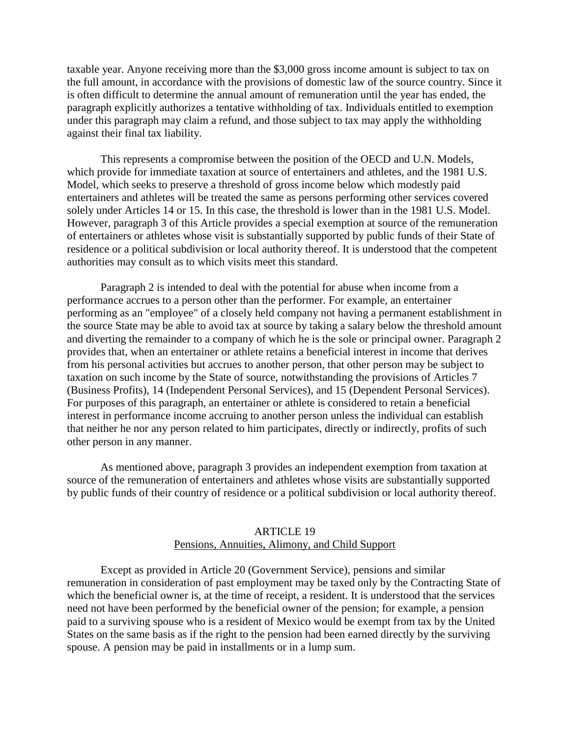taxable year. Anyone receiving more than the \$3,000 gross income amount is subject to tax on the full amount, in accordance with the provisions of domestic law of the source country. Since it is often difficult to determine the annual amount of remuneration until the year has ended, the paragraph explicitly authorizes a tentative withholding of tax. Individuals entitled to exemption under this paragraph may claim a refund, and those subject to tax may apply the withholding against their final tax liability.

This represents a compromise between the position of the OECD and U.N. Models, which provide for immediate taxation at source of entertainers and athletes, and the 1981 U.S. Model, which seeks to preserve a threshold of gross income below which modestly paid entertainers and athletes will be treated the same as persons performing other services covered solely under Articles 14 or 15. In this case, the threshold is lower than in the 1981 U.S. Model. However, paragraph 3 of this Article provides a special exemption at source of the remuneration of entertainers or athletes whose visit is substantially supported by public funds of their State of residence or a political subdivision or local authority thereof. It is understood that the competent authorities may consult as to which visits meet this standard.

Paragraph 2 is intended to deal with the potential for abuse when income from a performance accrues to a person other than the performer. For example, an entertainer performing as an "employee" of a closely held company not having a permanent establishment in the source State may be able to avoid tax at source by taking a salary below the threshold amount and diverting the remainder to a company of which he is the sole or principal owner. Paragraph 2 provides that, when an entertainer or athlete retains a beneficial interest in income that derives from his personal activities but accrues to another person, that other person may be subject to taxation on such income by the State of source, notwithstanding the provisions of Articles 7 (Business Profits), 14 (Independent Personal Services), and 15 (Dependent Personal Services). For purposes of this paragraph, an entertainer or athlete is considered to retain a beneficial interest in performance income accruing to another person unless the individual can establish that neither he nor any person related to him participates, directly or indirectly, profits of such other person in any manner.

As mentioned above, paragraph 3 provides an independent exemption from taxation at source of the remuneration of entertainers and athletes whose visits are substantially supported by public funds of their country of residence or a political subdivision or local authority thereof.

## ARTICLE 19 Pensions, Annuities, Alimony, and Child Support

Except as provided in Article 20 (Government Service), pensions and similar remuneration in consideration of past employment may be taxed only by the Contracting State of which the beneficial owner is, at the time of receipt, a resident. It is understood that the services need not have been performed by the beneficial owner of the pension; for example, a pension paid to a surviving spouse who is a resident of Mexico would be exempt from tax by the United States on the same basis as if the right to the pension had been earned directly by the surviving spouse. A pension may be paid in installments or in a lump sum.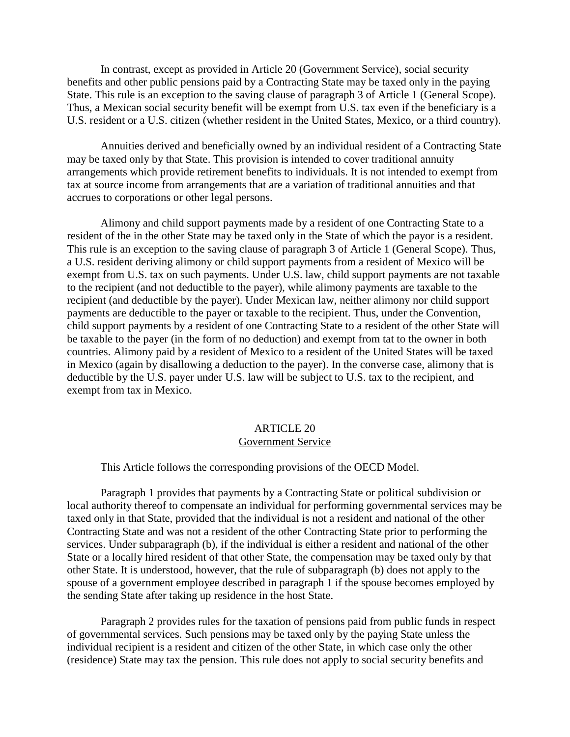In contrast, except as provided in Article 20 (Government Service), social security benefits and other public pensions paid by a Contracting State may be taxed only in the paying State. This rule is an exception to the saving clause of paragraph 3 of Article 1 (General Scope). Thus, a Mexican social security benefit will be exempt from U.S. tax even if the beneficiary is a U.S. resident or a U.S. citizen (whether resident in the United States, Mexico, or a third country).

Annuities derived and beneficially owned by an individual resident of a Contracting State may be taxed only by that State. This provision is intended to cover traditional annuity arrangements which provide retirement benefits to individuals. It is not intended to exempt from tax at source income from arrangements that are a variation of traditional annuities and that accrues to corporations or other legal persons.

Alimony and child support payments made by a resident of one Contracting State to a resident of the in the other State may be taxed only in the State of which the payor is a resident. This rule is an exception to the saving clause of paragraph 3 of Article 1 (General Scope). Thus, a U.S. resident deriving alimony or child support payments from a resident of Mexico will be exempt from U.S. tax on such payments. Under U.S. law, child support payments are not taxable to the recipient (and not deductible to the payer), while alimony payments are taxable to the recipient (and deductible by the payer). Under Mexican law, neither alimony nor child support payments are deductible to the payer or taxable to the recipient. Thus, under the Convention, child support payments by a resident of one Contracting State to a resident of the other State will be taxable to the payer (in the form of no deduction) and exempt from tat to the owner in both countries. Alimony paid by a resident of Mexico to a resident of the United States will be taxed in Mexico (again by disallowing a deduction to the payer). In the converse case, alimony that is deductible by the U.S. payer under U.S. law will be subject to U.S. tax to the recipient, and exempt from tax in Mexico.

## ARTICLE 20 Government Service

This Article follows the corresponding provisions of the OECD Model.

Paragraph 1 provides that payments by a Contracting State or political subdivision or local authority thereof to compensate an individual for performing governmental services may be taxed only in that State, provided that the individual is not a resident and national of the other Contracting State and was not a resident of the other Contracting State prior to performing the services. Under subparagraph (b), if the individual is either a resident and national of the other State or a locally hired resident of that other State, the compensation may be taxed only by that other State. It is understood, however, that the rule of subparagraph (b) does not apply to the spouse of a government employee described in paragraph 1 if the spouse becomes employed by the sending State after taking up residence in the host State.

Paragraph 2 provides rules for the taxation of pensions paid from public funds in respect of governmental services. Such pensions may be taxed only by the paying State unless the individual recipient is a resident and citizen of the other State, in which case only the other (residence) State may tax the pension. This rule does not apply to social security benefits and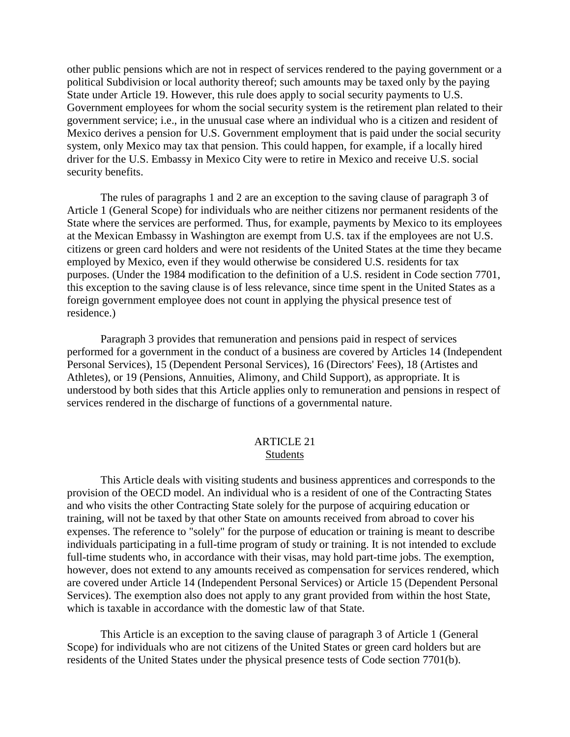other public pensions which are not in respect of services rendered to the paying government or a political Subdivision or local authority thereof; such amounts may be taxed only by the paying State under Article 19. However, this rule does apply to social security payments to U.S. Government employees for whom the social security system is the retirement plan related to their government service; i.e., in the unusual case where an individual who is a citizen and resident of Mexico derives a pension for U.S. Government employment that is paid under the social security system, only Mexico may tax that pension. This could happen, for example, if a locally hired driver for the U.S. Embassy in Mexico City were to retire in Mexico and receive U.S. social security benefits.

The rules of paragraphs 1 and 2 are an exception to the saving clause of paragraph 3 of Article 1 (General Scope) for individuals who are neither citizens nor permanent residents of the State where the services are performed. Thus, for example, payments by Mexico to its employees at the Mexican Embassy in Washington are exempt from U.S. tax if the employees are not U.S. citizens or green card holders and were not residents of the United States at the time they became employed by Mexico, even if they would otherwise be considered U.S. residents for tax purposes. (Under the 1984 modification to the definition of a U.S. resident in Code section 7701, this exception to the saving clause is of less relevance, since time spent in the United States as a foreign government employee does not count in applying the physical presence test of residence.)

Paragraph 3 provides that remuneration and pensions paid in respect of services performed for a government in the conduct of a business are covered by Articles 14 (Independent Personal Services), 15 (Dependent Personal Services), 16 (Directors' Fees), 18 (Artistes and Athletes), or 19 (Pensions, Annuities, Alimony, and Child Support), as appropriate. It is understood by both sides that this Article applies only to remuneration and pensions in respect of services rendered in the discharge of functions of a governmental nature.

## ARTICLE 21 Students

This Article deals with visiting students and business apprentices and corresponds to the provision of the OECD model. An individual who is a resident of one of the Contracting States and who visits the other Contracting State solely for the purpose of acquiring education or training, will not be taxed by that other State on amounts received from abroad to cover his expenses. The reference to "solely" for the purpose of education or training is meant to describe individuals participating in a full-time program of study or training. It is not intended to exclude full-time students who, in accordance with their visas, may hold part-time jobs. The exemption, however, does not extend to any amounts received as compensation for services rendered, which are covered under Article 14 (Independent Personal Services) or Article 15 (Dependent Personal Services). The exemption also does not apply to any grant provided from within the host State, which is taxable in accordance with the domestic law of that State.

This Article is an exception to the saving clause of paragraph 3 of Article 1 (General Scope) for individuals who are not citizens of the United States or green card holders but are residents of the United States under the physical presence tests of Code section 7701(b).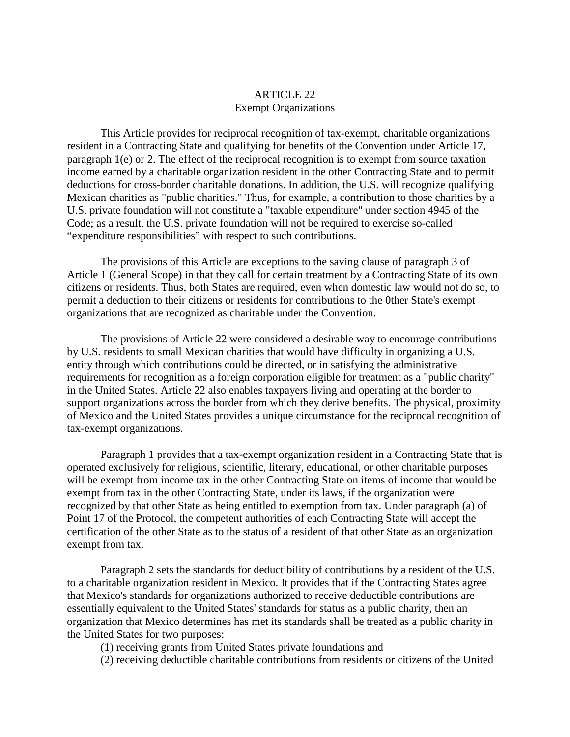## ARTICLE 22 Exempt Organizations

This Article provides for reciprocal recognition of tax-exempt, charitable organizations resident in a Contracting State and qualifying for benefits of the Convention under Article 17, paragraph 1(e) or 2. The effect of the reciprocal recognition is to exempt from source taxation income earned by a charitable organization resident in the other Contracting State and to permit deductions for cross-border charitable donations. In addition, the U.S. will recognize qualifying Mexican charities as "public charities." Thus, for example, a contribution to those charities by a U.S. private foundation will not constitute a "taxable expenditure" under section 4945 of the Code; as a result, the U.S. private foundation will not be required to exercise so-called "expenditure responsibilities" with respect to such contributions.

The provisions of this Article are exceptions to the saving clause of paragraph 3 of Article 1 (General Scope) in that they call for certain treatment by a Contracting State of its own citizens or residents. Thus, both States are required, even when domestic law would not do so, to permit a deduction to their citizens or residents for contributions to the 0ther State's exempt organizations that are recognized as charitable under the Convention.

The provisions of Article 22 were considered a desirable way to encourage contributions by U.S. residents to small Mexican charities that would have difficulty in organizing a U.S. entity through which contributions could be directed, or in satisfying the administrative requirements for recognition as a foreign corporation eligible for treatment as a "public charity" in the United States. Article 22 also enables taxpayers living and operating at the border to support organizations across the border from which they derive benefits. The physical, proximity of Mexico and the United States provides a unique circumstance for the reciprocal recognition of tax-exempt organizations.

Paragraph 1 provides that a tax-exempt organization resident in a Contracting State that is operated exclusively for religious, scientific, literary, educational, or other charitable purposes will be exempt from income tax in the other Contracting State on items of income that would be exempt from tax in the other Contracting State, under its laws, if the organization were recognized by that other State as being entitled to exemption from tax. Under paragraph (a) of Point 17 of the Protocol, the competent authorities of each Contracting State will accept the certification of the other State as to the status of a resident of that other State as an organization exempt from tax.

Paragraph 2 sets the standards for deductibility of contributions by a resident of the U.S. to a charitable organization resident in Mexico. It provides that if the Contracting States agree that Mexico's standards for organizations authorized to receive deductible contributions are essentially equivalent to the United States' standards for status as a public charity, then an organization that Mexico determines has met its standards shall be treated as a public charity in the United States for two purposes:

(1) receiving grants from United States private foundations and

(2) receiving deductible charitable contributions from residents or citizens of the United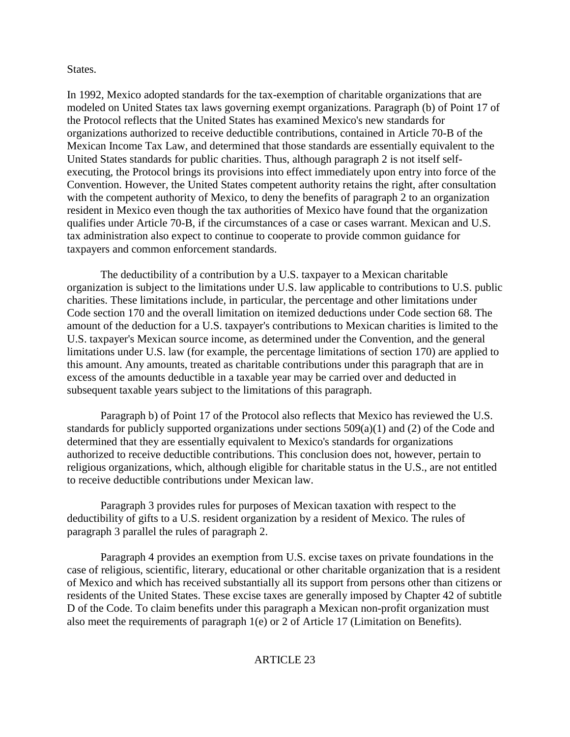## States.

In 1992, Mexico adopted standards for the tax-exemption of charitable organizations that are modeled on United States tax laws governing exempt organizations. Paragraph (b) of Point 17 of the Protocol reflects that the United States has examined Mexico's new standards for organizations authorized to receive deductible contributions, contained in Article 70-B of the Mexican Income Tax Law, and determined that those standards are essentially equivalent to the United States standards for public charities. Thus, although paragraph 2 is not itself selfexecuting, the Protocol brings its provisions into effect immediately upon entry into force of the Convention. However, the United States competent authority retains the right, after consultation with the competent authority of Mexico, to deny the benefits of paragraph 2 to an organization resident in Mexico even though the tax authorities of Mexico have found that the organization qualifies under Article 70-B, if the circumstances of a case or cases warrant. Mexican and U.S. tax administration also expect to continue to cooperate to provide common guidance for taxpayers and common enforcement standards.

The deductibility of a contribution by a U.S. taxpayer to a Mexican charitable organization is subject to the limitations under U.S. law applicable to contributions to U.S. public charities. These limitations include, in particular, the percentage and other limitations under Code section 170 and the overall limitation on itemized deductions under Code section 68. The amount of the deduction for a U.S. taxpayer's contributions to Mexican charities is limited to the U.S. taxpayer's Mexican source income, as determined under the Convention, and the general limitations under U.S. law (for example, the percentage limitations of section 170) are applied to this amount. Any amounts, treated as charitable contributions under this paragraph that are in excess of the amounts deductible in a taxable year may be carried over and deducted in subsequent taxable years subject to the limitations of this paragraph.

Paragraph b) of Point 17 of the Protocol also reflects that Mexico has reviewed the U.S. standards for publicly supported organizations under sections 509(a)(1) and (2) of the Code and determined that they are essentially equivalent to Mexico's standards for organizations authorized to receive deductible contributions. This conclusion does not, however, pertain to religious organizations, which, although eligible for charitable status in the U.S., are not entitled to receive deductible contributions under Mexican law.

Paragraph 3 provides rules for purposes of Mexican taxation with respect to the deductibility of gifts to a U.S. resident organization by a resident of Mexico. The rules of paragraph 3 parallel the rules of paragraph 2.

Paragraph 4 provides an exemption from U.S. excise taxes on private foundations in the case of religious, scientific, literary, educational or other charitable organization that is a resident of Mexico and which has received substantially all its support from persons other than citizens or residents of the United States. These excise taxes are generally imposed by Chapter 42 of subtitle D of the Code. To claim benefits under this paragraph a Mexican non-profit organization must also meet the requirements of paragraph 1(e) or 2 of Article 17 (Limitation on Benefits).

## ARTICLE 23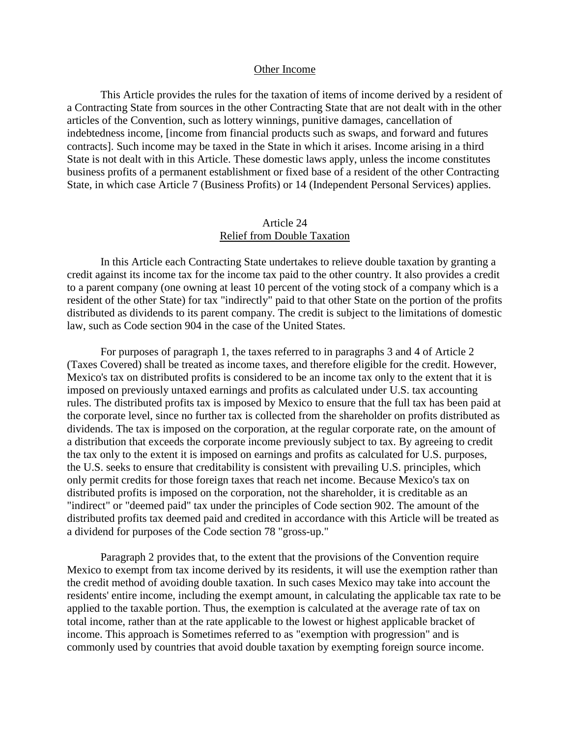#### Other Income

This Article provides the rules for the taxation of items of income derived by a resident of a Contracting State from sources in the other Contracting State that are not dealt with in the other articles of the Convention, such as lottery winnings, punitive damages, cancellation of indebtedness income, [income from financial products such as swaps, and forward and futures contracts]. Such income may be taxed in the State in which it arises. Income arising in a third State is not dealt with in this Article. These domestic laws apply, unless the income constitutes business profits of a permanent establishment or fixed base of a resident of the other Contracting State, in which case Article 7 (Business Profits) or 14 (Independent Personal Services) applies.

## Article 24 Relief from Double Taxation

In this Article each Contracting State undertakes to relieve double taxation by granting a credit against its income tax for the income tax paid to the other country. It also provides a credit to a parent company (one owning at least 10 percent of the voting stock of a company which is a resident of the other State) for tax "indirectly" paid to that other State on the portion of the profits distributed as dividends to its parent company. The credit is subject to the limitations of domestic law, such as Code section 904 in the case of the United States.

For purposes of paragraph 1, the taxes referred to in paragraphs 3 and 4 of Article 2 (Taxes Covered) shall be treated as income taxes, and therefore eligible for the credit. However, Mexico's tax on distributed profits is considered to be an income tax only to the extent that it is imposed on previously untaxed earnings and profits as calculated under U.S. tax accounting rules. The distributed profits tax is imposed by Mexico to ensure that the full tax has been paid at the corporate level, since no further tax is collected from the shareholder on profits distributed as dividends. The tax is imposed on the corporation, at the regular corporate rate, on the amount of a distribution that exceeds the corporate income previously subject to tax. By agreeing to credit the tax only to the extent it is imposed on earnings and profits as calculated for U.S. purposes, the U.S. seeks to ensure that creditability is consistent with prevailing U.S. principles, which only permit credits for those foreign taxes that reach net income. Because Mexico's tax on distributed profits is imposed on the corporation, not the shareholder, it is creditable as an "indirect" or "deemed paid" tax under the principles of Code section 902. The amount of the distributed profits tax deemed paid and credited in accordance with this Article will be treated as a dividend for purposes of the Code section 78 "gross-up."

Paragraph 2 provides that, to the extent that the provisions of the Convention require Mexico to exempt from tax income derived by its residents, it will use the exemption rather than the credit method of avoiding double taxation. In such cases Mexico may take into account the residents' entire income, including the exempt amount, in calculating the applicable tax rate to be applied to the taxable portion. Thus, the exemption is calculated at the average rate of tax on total income, rather than at the rate applicable to the lowest or highest applicable bracket of income. This approach is Sometimes referred to as "exemption with progression" and is commonly used by countries that avoid double taxation by exempting foreign source income.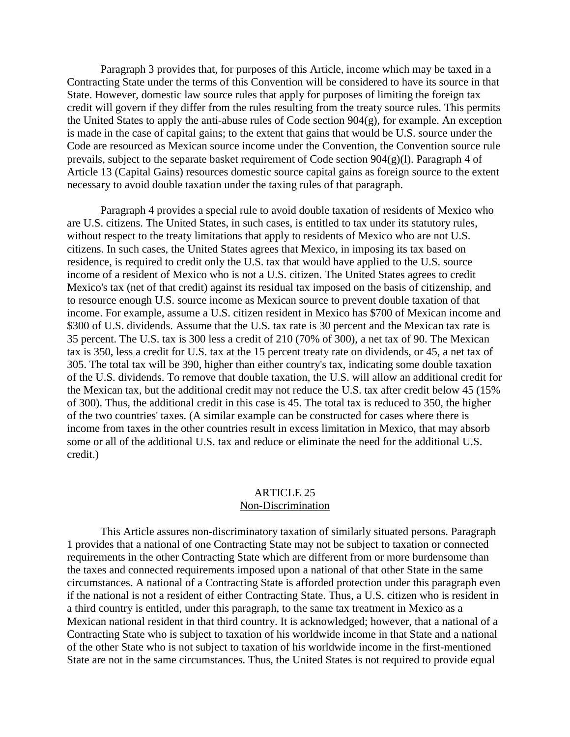Paragraph 3 provides that, for purposes of this Article, income which may be taxed in a Contracting State under the terms of this Convention will be considered to have its source in that State. However, domestic law source rules that apply for purposes of limiting the foreign tax credit will govern if they differ from the rules resulting from the treaty source rules. This permits the United States to apply the anti-abuse rules of Code section 904(g), for example. An exception is made in the case of capital gains; to the extent that gains that would be U.S. source under the Code are resourced as Mexican source income under the Convention, the Convention source rule prevails, subject to the separate basket requirement of Code section 904(g)(l). Paragraph 4 of Article 13 (Capital Gains) resources domestic source capital gains as foreign source to the extent necessary to avoid double taxation under the taxing rules of that paragraph.

Paragraph 4 provides a special rule to avoid double taxation of residents of Mexico who are U.S. citizens. The United States, in such cases, is entitled to tax under its statutory rules, without respect to the treaty limitations that apply to residents of Mexico who are not U.S. citizens. In such cases, the United States agrees that Mexico, in imposing its tax based on residence, is required to credit only the U.S. tax that would have applied to the U.S. source income of a resident of Mexico who is not a U.S. citizen. The United States agrees to credit Mexico's tax (net of that credit) against its residual tax imposed on the basis of citizenship, and to resource enough U.S. source income as Mexican source to prevent double taxation of that income. For example, assume a U.S. citizen resident in Mexico has \$700 of Mexican income and \$300 of U.S. dividends. Assume that the U.S. tax rate is 30 percent and the Mexican tax rate is 35 percent. The U.S. tax is 300 less a credit of 210 (70% of 300), a net tax of 90. The Mexican tax is 350, less a credit for U.S. tax at the 15 percent treaty rate on dividends, or 45, a net tax of 305. The total tax will be 390, higher than either country's tax, indicating some double taxation of the U.S. dividends. To remove that double taxation, the U.S. will allow an additional credit for the Mexican tax, but the additional credit may not reduce the U.S. tax after credit below 45 (15% of 300). Thus, the additional credit in this case is 45. The total tax is reduced to 350, the higher of the two countries' taxes. (A similar example can be constructed for cases where there is income from taxes in the other countries result in excess limitation in Mexico, that may absorb some or all of the additional U.S. tax and reduce or eliminate the need for the additional U.S. credit.)

#### ARTICLE 25 Non-Discrimination

This Article assures non-discriminatory taxation of similarly situated persons. Paragraph 1 provides that a national of one Contracting State may not be subject to taxation or connected requirements in the other Contracting State which are different from or more burdensome than the taxes and connected requirements imposed upon a national of that other State in the same circumstances. A national of a Contracting State is afforded protection under this paragraph even if the national is not a resident of either Contracting State. Thus, a U.S. citizen who is resident in a third country is entitled, under this paragraph, to the same tax treatment in Mexico as a Mexican national resident in that third country. It is acknowledged; however, that a national of a Contracting State who is subject to taxation of his worldwide income in that State and a national of the other State who is not subject to taxation of his worldwide income in the first-mentioned State are not in the same circumstances. Thus, the United States is not required to provide equal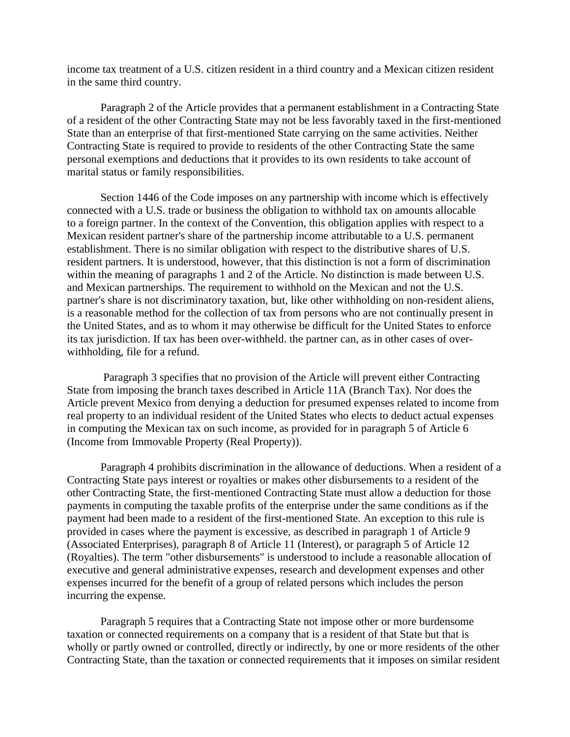income tax treatment of a U.S. citizen resident in a third country and a Mexican citizen resident in the same third country.

Paragraph 2 of the Article provides that a permanent establishment in a Contracting State of a resident of the other Contracting State may not be less favorably taxed in the first-mentioned State than an enterprise of that first-mentioned State carrying on the same activities. Neither Contracting State is required to provide to residents of the other Contracting State the same personal exemptions and deductions that it provides to its own residents to take account of marital status or family responsibilities.

Section 1446 of the Code imposes on any partnership with income which is effectively connected with a U.S. trade or business the obligation to withhold tax on amounts allocable to a foreign partner. In the context of the Convention, this obligation applies with respect to a Mexican resident partner's share of the partnership income attributable to a U.S. permanent establishment. There is no similar obligation with respect to the distributive shares of U.S. resident partners. It is understood, however, that this distinction is not a form of discrimination within the meaning of paragraphs 1 and 2 of the Article. No distinction is made between U.S. and Mexican partnerships. The requirement to withhold on the Mexican and not the U.S. partner's share is not discriminatory taxation, but, like other withholding on non-resident aliens, is a reasonable method for the collection of tax from persons who are not continually present in the United States, and as to whom it may otherwise be difficult for the United States to enforce its tax jurisdiction. If tax has been over-withheld. the partner can, as in other cases of overwithholding, file for a refund.

 Paragraph 3 specifies that no provision of the Article will prevent either Contracting State from imposing the branch taxes described in Article 11A (Branch Tax). Nor does the Article prevent Mexico from denying a deduction for presumed expenses related to income from real property to an individual resident of the United States who elects to deduct actual expenses in computing the Mexican tax on such income, as provided for in paragraph 5 of Article 6 (Income from Immovable Property (Real Property)).

Paragraph 4 prohibits discrimination in the allowance of deductions. When a resident of a Contracting State pays interest or royalties or makes other disbursements to a resident of the other Contracting State, the first-mentioned Contracting State must allow a deduction for those payments in computing the taxable profits of the enterprise under the same conditions as if the payment had been made to a resident of the first-mentioned State. An exception to this rule is provided in cases where the payment is excessive, as described in paragraph 1 of Article 9 (Associated Enterprises), paragraph 8 of Article 11 (Interest), or paragraph 5 of Article 12 (Royalties). The term "other disbursements" is understood to include a reasonable allocation of executive and general administrative expenses, research and development expenses and other expenses incurred for the benefit of a group of related persons which includes the person incurring the expense.

Paragraph 5 requires that a Contracting State not impose other or more burdensome taxation or connected requirements on a company that is a resident of that State but that is wholly or partly owned or controlled, directly or indirectly, by one or more residents of the other Contracting State, than the taxation or connected requirements that it imposes on similar resident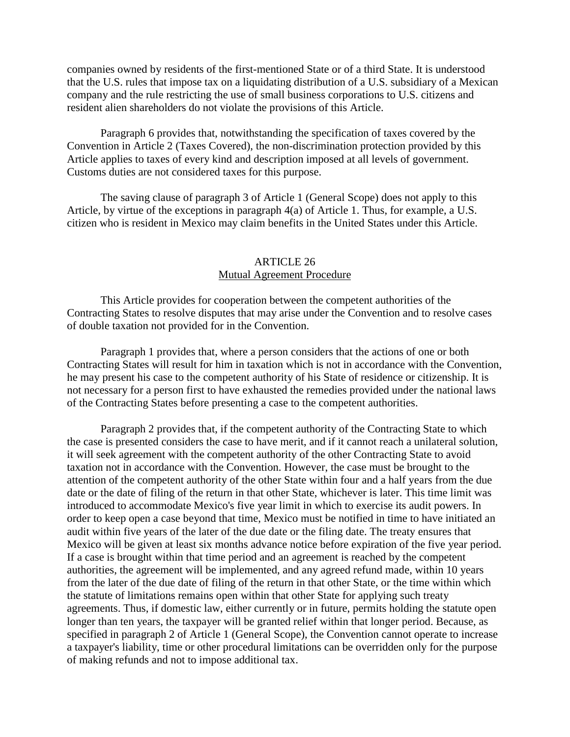companies owned by residents of the first-mentioned State or of a third State. It is understood that the U.S. rules that impose tax on a liquidating distribution of a U.S. subsidiary of a Mexican company and the rule restricting the use of small business corporations to U.S. citizens and resident alien shareholders do not violate the provisions of this Article.

Paragraph 6 provides that, notwithstanding the specification of taxes covered by the Convention in Article 2 (Taxes Covered), the non-discrimination protection provided by this Article applies to taxes of every kind and description imposed at all levels of government. Customs duties are not considered taxes for this purpose.

The saving clause of paragraph 3 of Article 1 (General Scope) does not apply to this Article, by virtue of the exceptions in paragraph 4(a) of Article 1. Thus, for example, a U.S. citizen who is resident in Mexico may claim benefits in the United States under this Article.

## ARTICLE 26 Mutual Agreement Procedure

This Article provides for cooperation between the competent authorities of the Contracting States to resolve disputes that may arise under the Convention and to resolve cases of double taxation not provided for in the Convention.

Paragraph 1 provides that, where a person considers that the actions of one or both Contracting States will result for him in taxation which is not in accordance with the Convention, he may present his case to the competent authority of his State of residence or citizenship. It is not necessary for a person first to have exhausted the remedies provided under the national laws of the Contracting States before presenting a case to the competent authorities.

Paragraph 2 provides that, if the competent authority of the Contracting State to which the case is presented considers the case to have merit, and if it cannot reach a unilateral solution, it will seek agreement with the competent authority of the other Contracting State to avoid taxation not in accordance with the Convention. However, the case must be brought to the attention of the competent authority of the other State within four and a half years from the due date or the date of filing of the return in that other State, whichever is later. This time limit was introduced to accommodate Mexico's five year limit in which to exercise its audit powers. In order to keep open a case beyond that time, Mexico must be notified in time to have initiated an audit within five years of the later of the due date or the filing date. The treaty ensures that Mexico will be given at least six months advance notice before expiration of the five year period. If a case is brought within that time period and an agreement is reached by the competent authorities, the agreement will be implemented, and any agreed refund made, within 10 years from the later of the due date of filing of the return in that other State, or the time within which the statute of limitations remains open within that other State for applying such treaty agreements. Thus, if domestic law, either currently or in future, permits holding the statute open longer than ten years, the taxpayer will be granted relief within that longer period. Because, as specified in paragraph 2 of Article 1 (General Scope), the Convention cannot operate to increase a taxpayer's liability, time or other procedural limitations can be overridden only for the purpose of making refunds and not to impose additional tax.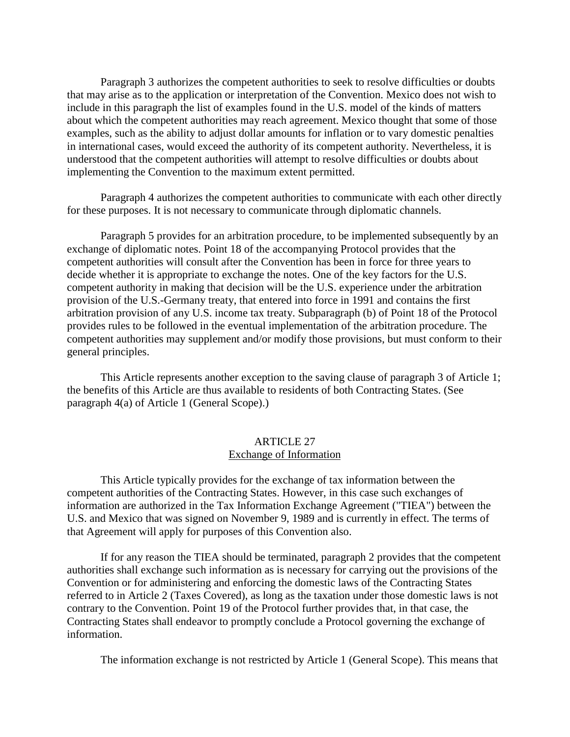Paragraph 3 authorizes the competent authorities to seek to resolve difficulties or doubts that may arise as to the application or interpretation of the Convention. Mexico does not wish to include in this paragraph the list of examples found in the U.S. model of the kinds of matters about which the competent authorities may reach agreement. Mexico thought that some of those examples, such as the ability to adjust dollar amounts for inflation or to vary domestic penalties in international cases, would exceed the authority of its competent authority. Nevertheless, it is understood that the competent authorities will attempt to resolve difficulties or doubts about implementing the Convention to the maximum extent permitted.

Paragraph 4 authorizes the competent authorities to communicate with each other directly for these purposes. It is not necessary to communicate through diplomatic channels.

Paragraph 5 provides for an arbitration procedure, to be implemented subsequently by an exchange of diplomatic notes. Point 18 of the accompanying Protocol provides that the competent authorities will consult after the Convention has been in force for three years to decide whether it is appropriate to exchange the notes. One of the key factors for the U.S. competent authority in making that decision will be the U.S. experience under the arbitration provision of the U.S.-Germany treaty, that entered into force in 1991 and contains the first arbitration provision of any U.S. income tax treaty. Subparagraph (b) of Point 18 of the Protocol provides rules to be followed in the eventual implementation of the arbitration procedure. The competent authorities may supplement and/or modify those provisions, but must conform to their general principles.

This Article represents another exception to the saving clause of paragraph 3 of Article 1; the benefits of this Article are thus available to residents of both Contracting States. (See paragraph 4(a) of Article 1 (General Scope).)

#### ARTICLE 27 Exchange of Information

This Article typically provides for the exchange of tax information between the competent authorities of the Contracting States. However, in this case such exchanges of information are authorized in the Tax Information Exchange Agreement ("TIEA") between the U.S. and Mexico that was signed on November 9, 1989 and is currently in effect. The terms of that Agreement will apply for purposes of this Convention also.

If for any reason the TIEA should be terminated, paragraph 2 provides that the competent authorities shall exchange such information as is necessary for carrying out the provisions of the Convention or for administering and enforcing the domestic laws of the Contracting States referred to in Article 2 (Taxes Covered), as long as the taxation under those domestic laws is not contrary to the Convention. Point 19 of the Protocol further provides that, in that case, the Contracting States shall endeavor to promptly conclude a Protocol governing the exchange of information.

The information exchange is not restricted by Article 1 (General Scope). This means that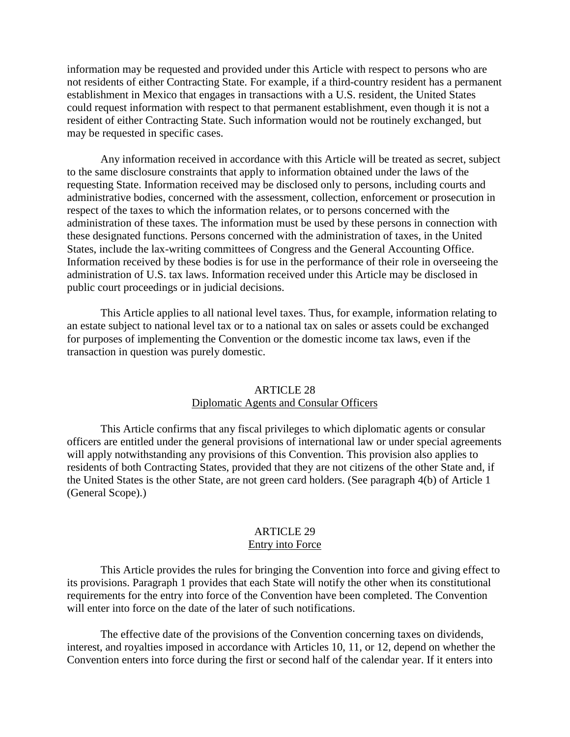information may be requested and provided under this Article with respect to persons who are not residents of either Contracting State. For example, if a third-country resident has a permanent establishment in Mexico that engages in transactions with a U.S. resident, the United States could request information with respect to that permanent establishment, even though it is not a resident of either Contracting State. Such information would not be routinely exchanged, but may be requested in specific cases.

Any information received in accordance with this Article will be treated as secret, subject to the same disclosure constraints that apply to information obtained under the laws of the requesting State. Information received may be disclosed only to persons, including courts and administrative bodies, concerned with the assessment, collection, enforcement or prosecution in respect of the taxes to which the information relates, or to persons concerned with the administration of these taxes. The information must be used by these persons in connection with these designated functions. Persons concerned with the administration of taxes, in the United States, include the lax-writing committees of Congress and the General Accounting Office. Information received by these bodies is for use in the performance of their role in overseeing the administration of U.S. tax laws. Information received under this Article may be disclosed in public court proceedings or in judicial decisions.

This Article applies to all national level taxes. Thus, for example, information relating to an estate subject to national level tax or to a national tax on sales or assets could be exchanged for purposes of implementing the Convention or the domestic income tax laws, even if the transaction in question was purely domestic.

## ARTICLE 28

## Diplomatic Agents and Consular Officers

This Article confirms that any fiscal privileges to which diplomatic agents or consular officers are entitled under the general provisions of international law or under special agreements will apply notwithstanding any provisions of this Convention. This provision also applies to residents of both Contracting States, provided that they are not citizens of the other State and, if the United States is the other State, are not green card holders. (See paragraph 4(b) of Article 1 (General Scope).)

#### ARTICLE 29 Entry into Force

This Article provides the rules for bringing the Convention into force and giving effect to its provisions. Paragraph 1 provides that each State will notify the other when its constitutional requirements for the entry into force of the Convention have been completed. The Convention will enter into force on the date of the later of such notifications.

The effective date of the provisions of the Convention concerning taxes on dividends, interest, and royalties imposed in accordance with Articles 10, 11, or 12, depend on whether the Convention enters into force during the first or second half of the calendar year. If it enters into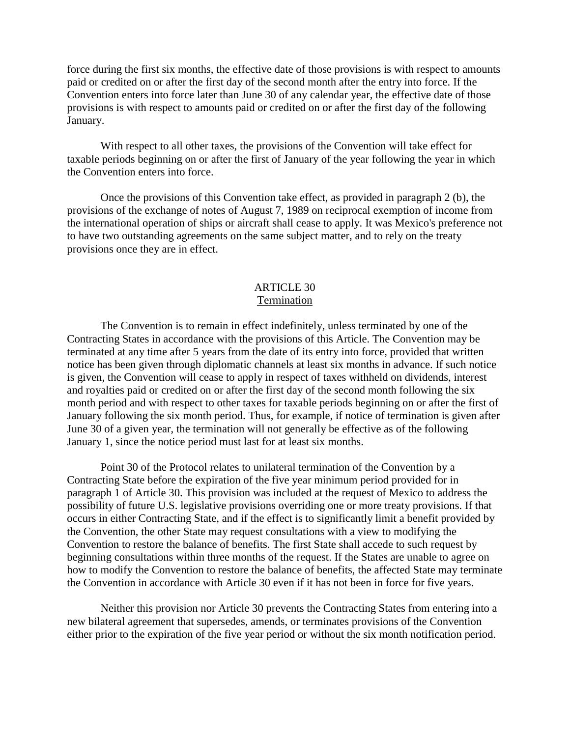force during the first six months, the effective date of those provisions is with respect to amounts paid or credited on or after the first day of the second month after the entry into force. If the Convention enters into force later than June 30 of any calendar year, the effective date of those provisions is with respect to amounts paid or credited on or after the first day of the following January.

With respect to all other taxes, the provisions of the Convention will take effect for taxable periods beginning on or after the first of January of the year following the year in which the Convention enters into force.

Once the provisions of this Convention take effect, as provided in paragraph 2 (b), the provisions of the exchange of notes of August 7, 1989 on reciprocal exemption of income from the international operation of ships or aircraft shall cease to apply. It was Mexico's preference not to have two outstanding agreements on the same subject matter, and to rely on the treaty provisions once they are in effect.

### ARTICLE 30 Termination

The Convention is to remain in effect indefinitely, unless terminated by one of the Contracting States in accordance with the provisions of this Article. The Convention may be terminated at any time after 5 years from the date of its entry into force, provided that written notice has been given through diplomatic channels at least six months in advance. If such notice is given, the Convention will cease to apply in respect of taxes withheld on dividends, interest and royalties paid or credited on or after the first day of the second month following the six month period and with respect to other taxes for taxable periods beginning on or after the first of January following the six month period. Thus, for example, if notice of termination is given after June 30 of a given year, the termination will not generally be effective as of the following January 1, since the notice period must last for at least six months.

Point 30 of the Protocol relates to unilateral termination of the Convention by a Contracting State before the expiration of the five year minimum period provided for in paragraph 1 of Article 30. This provision was included at the request of Mexico to address the possibility of future U.S. legislative provisions overriding one or more treaty provisions. If that occurs in either Contracting State, and if the effect is to significantly limit a benefit provided by the Convention, the other State may request consultations with a view to modifying the Convention to restore the balance of benefits. The first State shall accede to such request by beginning consultations within three months of the request. If the States are unable to agree on how to modify the Convention to restore the balance of benefits, the affected State may terminate the Convention in accordance with Article 30 even if it has not been in force for five years.

Neither this provision nor Article 30 prevents the Contracting States from entering into a new bilateral agreement that supersedes, amends, or terminates provisions of the Convention either prior to the expiration of the five year period or without the six month notification period.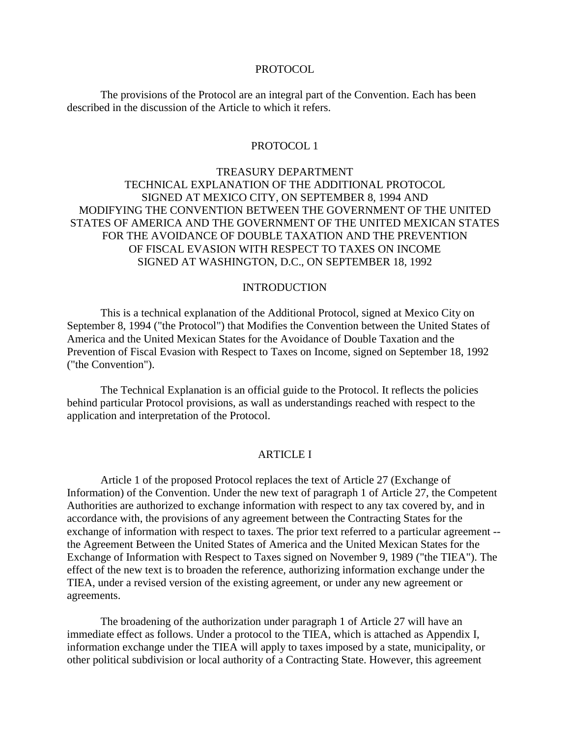#### PROTOCOL.

The provisions of the Protocol are an integral part of the Convention. Each has been described in the discussion of the Article to which it refers.

#### PROTOCOL 1

## TREASURY DEPARTMENT TECHNICAL EXPLANATION OF THE ADDITIONAL PROTOCOL SIGNED AT MEXICO CITY, ON SEPTEMBER 8, 1994 AND MODIFYING THE CONVENTION BETWEEN THE GOVERNMENT OF THE UNITED STATES OF AMERICA AND THE GOVERNMENT OF THE UNITED MEXICAN STATES FOR THE AVOIDANCE OF DOUBLE TAXATION AND THE PREVENTION OF FISCAL EVASION WITH RESPECT TO TAXES ON INCOME SIGNED AT WASHINGTON, D.C., ON SEPTEMBER 18, 1992

#### INTRODUCTION

This is a technical explanation of the Additional Protocol, signed at Mexico City on September 8, 1994 ("the Protocol") that Modifies the Convention between the United States of America and the United Mexican States for the Avoidance of Double Taxation and the Prevention of Fiscal Evasion with Respect to Taxes on Income, signed on September 18, 1992 ("the Convention").

The Technical Explanation is an official guide to the Protocol. It reflects the policies behind particular Protocol provisions, as wall as understandings reached with respect to the application and interpretation of the Protocol.

#### ARTICLE I

Article 1 of the proposed Protocol replaces the text of Article 27 (Exchange of Information) of the Convention. Under the new text of paragraph 1 of Article 27, the Competent Authorities are authorized to exchange information with respect to any tax covered by, and in accordance with, the provisions of any agreement between the Contracting States for the exchange of information with respect to taxes. The prior text referred to a particular agreement - the Agreement Between the United States of America and the United Mexican States for the Exchange of Information with Respect to Taxes signed on November 9, 1989 ("the TIEA"). The effect of the new text is to broaden the reference, authorizing information exchange under the TIEA, under a revised version of the existing agreement, or under any new agreement or agreements.

The broadening of the authorization under paragraph 1 of Article 27 will have an immediate effect as follows. Under a protocol to the TIEA, which is attached as Appendix I, information exchange under the TIEA will apply to taxes imposed by a state, municipality, or other political subdivision or local authority of a Contracting State. However, this agreement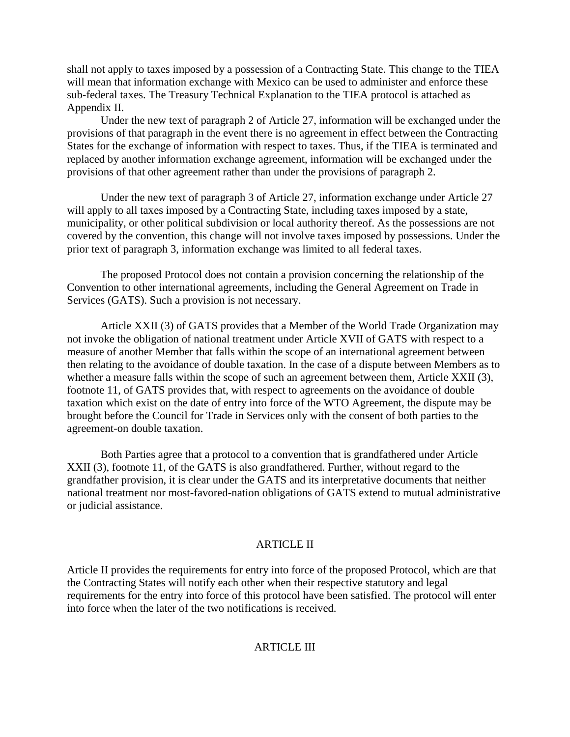shall not apply to taxes imposed by a possession of a Contracting State. This change to the TIEA will mean that information exchange with Mexico can be used to administer and enforce these sub-federal taxes. The Treasury Technical Explanation to the TIEA protocol is attached as Appendix II.

Under the new text of paragraph 2 of Article 27, information will be exchanged under the provisions of that paragraph in the event there is no agreement in effect between the Contracting States for the exchange of information with respect to taxes. Thus, if the TIEA is terminated and replaced by another information exchange agreement, information will be exchanged under the provisions of that other agreement rather than under the provisions of paragraph 2.

Under the new text of paragraph 3 of Article 27, information exchange under Article 27 will apply to all taxes imposed by a Contracting State, including taxes imposed by a state, municipality, or other political subdivision or local authority thereof. As the possessions are not covered by the convention, this change will not involve taxes imposed by possessions. Under the prior text of paragraph 3, information exchange was limited to all federal taxes.

The proposed Protocol does not contain a provision concerning the relationship of the Convention to other international agreements, including the General Agreement on Trade in Services (GATS). Such a provision is not necessary.

Article XXII (3) of GATS provides that a Member of the World Trade Organization may not invoke the obligation of national treatment under Article XVII of GATS with respect to a measure of another Member that falls within the scope of an international agreement between then relating to the avoidance of double taxation. In the case of a dispute between Members as to whether a measure falls within the scope of such an agreement between them, Article XXII (3), footnote 11, of GATS provides that, with respect to agreements on the avoidance of double taxation which exist on the date of entry into force of the WTO Agreement, the dispute may be brought before the Council for Trade in Services only with the consent of both parties to the agreement-on double taxation.

Both Parties agree that a protocol to a convention that is grandfathered under Article XXII (3), footnote 11, of the GATS is also grandfathered. Further, without regard to the grandfather provision, it is clear under the GATS and its interpretative documents that neither national treatment nor most-favored-nation obligations of GATS extend to mutual administrative or judicial assistance.

#### ARTICLE II

Article II provides the requirements for entry into force of the proposed Protocol, which are that the Contracting States will notify each other when their respective statutory and legal requirements for the entry into force of this protocol have been satisfied. The protocol will enter into force when the later of the two notifications is received.

#### **ARTICLE III**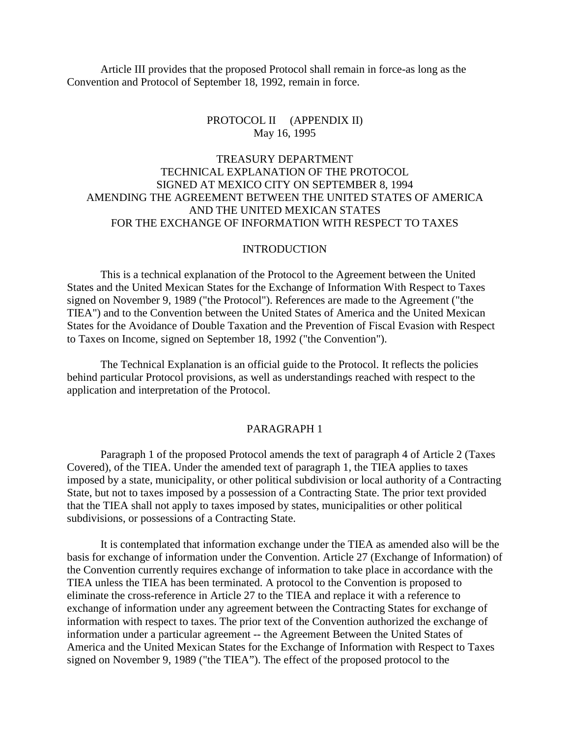Article III provides that the proposed Protocol shall remain in force-as long as the Convention and Protocol of September 18, 1992, remain in force.

#### PROTOCOL II (APPENDIX II) May 16, 1995

## TREASURY DEPARTMENT TECHNICAL EXPLANATION OF THE PROTOCOL SIGNED AT MEXICO CITY ON SEPTEMBER 8, 1994 AMENDING THE AGREEMENT BETWEEN THE UNITED STATES OF AMERICA AND THE UNITED MEXICAN STATES FOR THE EXCHANGE OF INFORMATION WITH RESPECT TO TAXES

#### INTRODUCTION

This is a technical explanation of the Protocol to the Agreement between the United States and the United Mexican States for the Exchange of Information With Respect to Taxes signed on November 9, 1989 ("the Protocol"). References are made to the Agreement ("the TIEA") and to the Convention between the United States of America and the United Mexican States for the Avoidance of Double Taxation and the Prevention of Fiscal Evasion with Respect to Taxes on Income, signed on September 18, 1992 ("the Convention").

The Technical Explanation is an official guide to the Protocol. It reflects the policies behind particular Protocol provisions, as well as understandings reached with respect to the application and interpretation of the Protocol.

#### PARAGRAPH 1

Paragraph 1 of the proposed Protocol amends the text of paragraph 4 of Article 2 (Taxes Covered), of the TIEA. Under the amended text of paragraph 1, the TIEA applies to taxes imposed by a state, municipality, or other political subdivision or local authority of a Contracting State, but not to taxes imposed by a possession of a Contracting State. The prior text provided that the TIEA shall not apply to taxes imposed by states, municipalities or other political subdivisions, or possessions of a Contracting State.

It is contemplated that information exchange under the TIEA as amended also will be the basis for exchange of information under the Convention. Article 27 (Exchange of Information) of the Convention currently requires exchange of information to take place in accordance with the TIEA unless the TIEA has been terminated. A protocol to the Convention is proposed to eliminate the cross-reference in Article 27 to the TIEA and replace it with a reference to exchange of information under any agreement between the Contracting States for exchange of information with respect to taxes. The prior text of the Convention authorized the exchange of information under a particular agreement -- the Agreement Between the United States of America and the United Mexican States for the Exchange of Information with Respect to Taxes signed on November 9, 1989 ("the TIEA"). The effect of the proposed protocol to the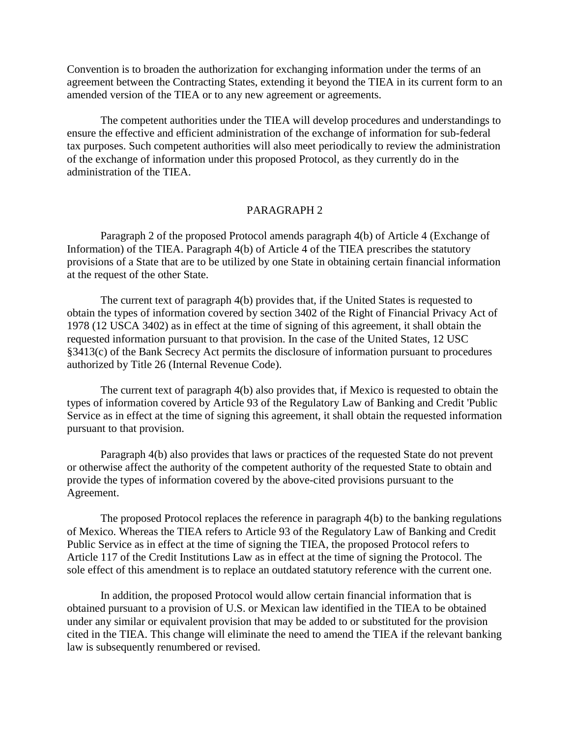Convention is to broaden the authorization for exchanging information under the terms of an agreement between the Contracting States, extending it beyond the TIEA in its current form to an amended version of the TIEA or to any new agreement or agreements.

The competent authorities under the TIEA will develop procedures and understandings to ensure the effective and efficient administration of the exchange of information for sub-federal tax purposes. Such competent authorities will also meet periodically to review the administration of the exchange of information under this proposed Protocol, as they currently do in the administration of the TIEA.

## PARAGRAPH 2

Paragraph 2 of the proposed Protocol amends paragraph 4(b) of Article 4 (Exchange of Information) of the TIEA. Paragraph 4(b) of Article 4 of the TIEA prescribes the statutory provisions of a State that are to be utilized by one State in obtaining certain financial information at the request of the other State.

The current text of paragraph 4(b) provides that, if the United States is requested to obtain the types of information covered by section 3402 of the Right of Financial Privacy Act of 1978 (12 USCA 3402) as in effect at the time of signing of this agreement, it shall obtain the requested information pursuant to that provision. In the case of the United States, 12 USC §3413(c) of the Bank Secrecy Act permits the disclosure of information pursuant to procedures authorized by Title 26 (Internal Revenue Code).

The current text of paragraph 4(b) also provides that, if Mexico is requested to obtain the types of information covered by Article 93 of the Regulatory Law of Banking and Credit 'Public Service as in effect at the time of signing this agreement, it shall obtain the requested information pursuant to that provision.

Paragraph 4(b) also provides that laws or practices of the requested State do not prevent or otherwise affect the authority of the competent authority of the requested State to obtain and provide the types of information covered by the above-cited provisions pursuant to the Agreement.

The proposed Protocol replaces the reference in paragraph 4(b) to the banking regulations of Mexico. Whereas the TIEA refers to Article 93 of the Regulatory Law of Banking and Credit Public Service as in effect at the time of signing the TIEA, the proposed Protocol refers to Article 117 of the Credit Institutions Law as in effect at the time of signing the Protocol. The sole effect of this amendment is to replace an outdated statutory reference with the current one.

In addition, the proposed Protocol would allow certain financial information that is obtained pursuant to a provision of U.S. or Mexican law identified in the TIEA to be obtained under any similar or equivalent provision that may be added to or substituted for the provision cited in the TIEA. This change will eliminate the need to amend the TIEA if the relevant banking law is subsequently renumbered or revised.